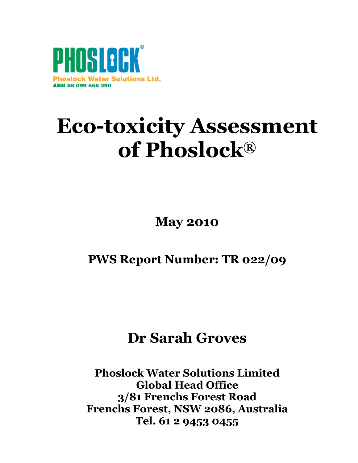

# **Eco-toxicity Assessment of Phoslock®**

**May 2010**

## **PWS Report Number: TR 022/09**

# **Dr Sarah Groves**

**Phoslock Water Solutions Limited Global Head Office 3/81 Frenchs Forest Road Frenchs Forest, NSW 2086, Australia Tel. 61 2 9453 0455**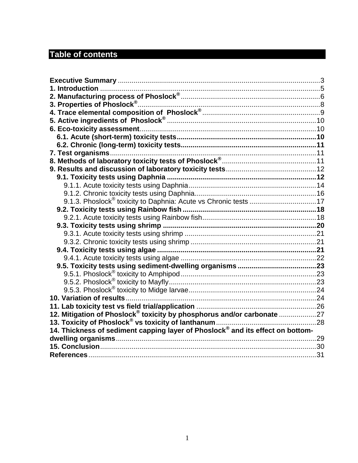## **Table of contents**

| 12. Mitigation of Phoslock <sup>®</sup> toxicity by phosphorus and/or carbonate 27     |  |
|----------------------------------------------------------------------------------------|--|
|                                                                                        |  |
| 14. Thickness of sediment capping layer of Phoslock $^\circ$ and its effect on bottom- |  |
|                                                                                        |  |
|                                                                                        |  |
|                                                                                        |  |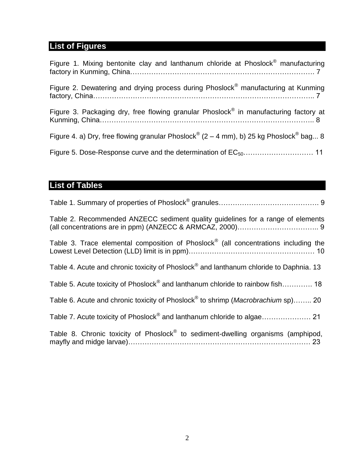## **List of Figures**

| Figure 1. Mixing bentonite clay and lanthanum chloride at Phoslock <sup>®</sup> manufacturing                  |
|----------------------------------------------------------------------------------------------------------------|
| Figure 2. Dewatering and drying process during Phoslock <sup>®</sup> manufacturing at Kunming                  |
| Figure 3. Packaging dry, free flowing granular Phoslock <sup>®</sup> in manufacturing factory at               |
| Figure 4. a) Dry, free flowing granular Phoslock <sup>®</sup> (2 – 4 mm), b) 25 kg Phoslock <sup>®</sup> bag 8 |
|                                                                                                                |

## **List of Tables**

| Table 2. Recommended ANZECC sediment quality guidelines for a range of elements                      |
|------------------------------------------------------------------------------------------------------|
| Table 3. Trace elemental composition of Phoslock <sup>®</sup> (all concentrations including the      |
| Table 4. Acute and chronic toxicity of Phoslock <sup>®</sup> and lanthanum chloride to Daphnia. 13   |
| Table 5. Acute toxicity of Phoslock <sup>®</sup> and lanthanum chloride to rainbow fish 18           |
| Table 6. Acute and chronic toxicity of Phoslock <sup>®</sup> to shrimp ( <i>Macrobrachium</i> sp) 20 |
|                                                                                                      |
| Table 8. Chronic toxicity of Phoslock <sup>®</sup> to sediment-dwelling organisms (amphipod,         |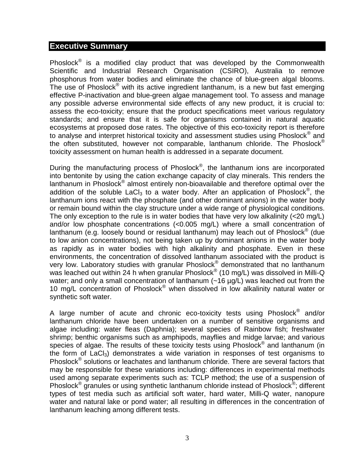#### <span id="page-3-0"></span>**Executive Summary**

Phoslock<sup>®</sup> is a modified clay product that was developed by the Commonwealth Scientific and Industrial Research Organisation (CSIRO), Australia to remove phosphorus from water bodies and eliminate the chance of blue-green algal blooms. The use of Phoslock $^{\circledast}$  with its active ingredient lanthanum, is a new but fast emerging effective P-inactivation and blue-green algae management tool. To assess and manage any possible adverse environmental side effects of any new product, it is crucial to: assess the eco-toxicity; ensure that the product specifications meet various regulatory standards; and ensure that it is safe for organisms contained in natural aquatic ecosystems at proposed dose rates. The objective of this eco-toxicity report is therefore to analyse and interpret historical toxicity and assessment studies using Phoslock<sup>®</sup> and the often substituted, however not comparable, lanthanum chloride. The Phoslock<sup>®</sup> toxicity assessment on human health is addressed in a separate document.

During the manufacturing process of Phoslock<sup>®</sup>, the lanthanum ions are incorporated into bentonite by using the cation exchange capacity of clay minerals. This renders the lanthanum in Phoslock® almost entirely non-bioavailable and therefore optimal over the addition of the soluble LaCl<sub>3</sub> to a water body. After an application of Phoslock<sup>®</sup>, the lanthanum ions react with the phosphate (and other dominant anions) in the water body or remain bound within the clay structure under a wide range of physiological conditions. The only exception to the rule is in water bodies that have very low alkalinity (<20 mg/L) and/or low phosphate concentrations (<0.005 mg/L) where a small concentration of lanthanum (e.g. loosely bound or residual lanthanum) may leach out of Phoslock® (due to low anion concentrations), not being taken up by dominant anions in the water body as rapidly as in water bodies with high alkalinity and phosphate. Even in these environments, the concentration of dissolved lanthanum associated with the product is very low. Laboratory studies with granular Phoslock® demonstrated that no lanthanum was leached out within 24 h when granular Phoslock® (10 mg/L) was dissolved in Milli-Q water; and only a small concentration of lanthanum  $(-16 \mu g/L)$  was leached out from the 10 mg/L concentration of Phoslock® when dissolved in low alkalinity natural water or synthetic soft water.

A large number of acute and chronic eco-toxicity tests using Phoslock<sup>®</sup> and/or lanthanum chloride have been undertaken on a number of sensitive organisms and algae including: water fleas (Daphnia); several species of Rainbow fish; freshwater shrimp; benthic organisms such as amphipods, mayflies and midge larvae; and various species of algae. The results of these toxicity tests using Phoslock<sup>®</sup> and lanthanum (in the form of  $LaCl<sub>3</sub>$ ) demonstrates a wide variation in responses of test organisms to Phoslock<sup>®</sup> solutions or leachates and lanthanum chloride. There are several factors that may be responsible for these variations including: differences in experimental methods used among separate experiments such as: TCLP method; the use of a suspension of Phoslock<sup>®</sup> granules or using synthetic lanthanum chloride instead of Phoslock<sup>®</sup>; different types of test media such as artificial soft water, hard water, Milli-Q water, nanopure water and natural lake or pond water; all resulting in differences in the concentration of lanthanum leaching among different tests.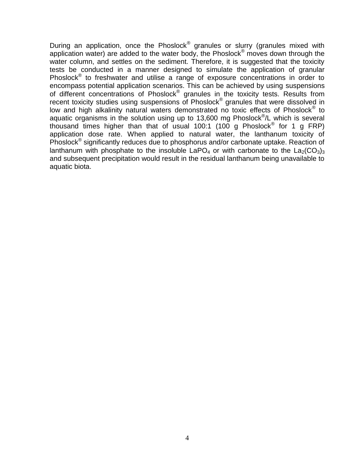During an application, once the Phoslock<sup>®</sup> granules or slurry (granules mixed with application water) are added to the water body, the Phoslock<sup>®</sup> moves down through the water column, and settles on the sediment. Therefore, it is suggested that the toxicity tests be conducted in a manner designed to simulate the application of granular Phoslock<sup>®</sup> to freshwater and utilise a range of exposure concentrations in order to encompass potential application scenarios. This can be achieved by using suspensions of different concentrations of Phoslock<sup>®</sup> granules in the toxicity tests. Results from recent toxicity studies using suspensions of Phoslock<sup>®</sup> granules that were dissolved in low and high alkalinity natural waters demonstrated no toxic effects of Phoslock® to aquatic organisms in the solution using up to 13,600 mg Phoslock<sup>®</sup>/L which is several thousand times higher than that of usual 100:1 (100 g Phoslock® for 1 g FRP) application dose rate. When applied to natural water, the lanthanum toxicity of Phoslock<sup>®</sup> significantly reduces due to phosphorus and/or carbonate uptake. Reaction of lanthanum with phosphate to the insoluble LaPO<sub>4</sub> or with carbonate to the  $La_2(CO_3)_3$ and subsequent precipitation would result in the residual lanthanum being unavailable to aquatic biota.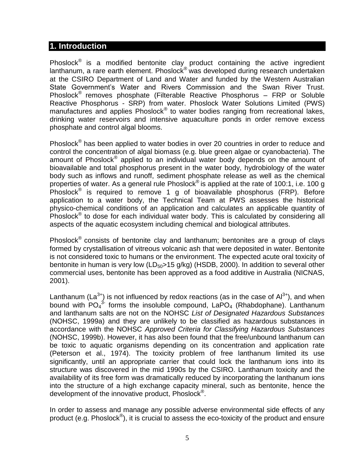#### <span id="page-5-0"></span>**1. Introduction**

Phoslock<sup>®</sup> is a modified bentonite clay product containing the active ingredient lanthanum, a rare earth element. Phoslock® was developed during research undertaken at the CSIRO Department of Land and Water and funded by the Western Australian State Government's Water and Rivers Commission and the Swan River Trust. Phoslock® removes phosphate (Filterable Reactive Phosphorus – FRP or Soluble Reactive Phosphorus - SRP) from water. Phoslock Water Solutions Limited (PWS) manufactures and applies Phoslock® to water bodies ranging from recreational lakes, drinking water reservoirs and intensive aquaculture ponds in order remove excess phosphate and control algal blooms.

Phoslock<sup>®</sup> has been applied to water bodies in over 20 countries in order to reduce and control the concentration of algal biomass (e.g. blue green algae or cyanobacteria). The amount of Phoslock<sup>®</sup> applied to an individual water body depends on the amount of bioavailable and total phosphorus present in the water body, hydrobiology of the water body such as inflows and runoff, sediment phosphate release as well as the chemical properties of water. As a general rule Phoslock<sup>®</sup> is applied at the rate of 100:1, i.e. 100 g Phoslock<sup>®</sup> is required to remove 1 g of bioavailable phosphorus (FRP). Before application to a water body, the Technical Team at PWS assesses the historical physico-chemical conditions of an application and calculates an applicable quantity of Phoslock<sup>®</sup> to dose for each individual water body. This is calculated by considering all aspects of the aquatic ecosystem including chemical and biological attributes.

Phoslock<sup>®</sup> consists of bentonite clay and lanthanum; bentonites are a group of clays formed by crystallisation of vitreous volcanic ash that were deposited in water. Bentonite is not considered toxic to humans or the environment. The expected acute oral toxicity of bentonite in human is very low ( $LD_{50}$ >15 g/kg) (HSDB, 2000). In addition to several other commercial uses, bentonite has been approved as a food additive in Australia (NICNAS, 2001).

Lanthanum (La<sup>3+</sup>) is not influenced by redox reactions (as in the case of  $Al^{3+}$ ), and when bound with  $PO_4^3$  forms the insoluble compound,  $LapO_4$  (Rhabdophane). Lanthanum and lanthanum salts are not on the NOHSC *List of Designated Hazardous Substances* (NOHSC, 1999a) and they are unlikely to be classified as hazardous substances in accordance with the NOHSC *Approved Criteria for Classifying Hazardous Substances* (NOHSC, 1999b). However, it has also been found that the free/unbound lanthanum can be toxic to aquatic organisms depending on its concentration and application rate (Peterson et al., 1974). The toxicity problem of free lanthanum limited its use significantly, until an appropriate carrier that could lock the lanthanum ions into its structure was discovered in the mid 1990s by the CSIRO. Lanthanum toxicity and the availability of its free form was dramatically reduced by incorporating the lanthanum ions into the structure of a high exchange capacity mineral, such as bentonite, hence the development of the innovative product, Phoslock<sup>®</sup>.

In order to assess and manage any possible adverse environmental side effects of any product (e.g. Phoslock<sup>®</sup>), it is crucial to assess the eco-toxicity of the product and ensure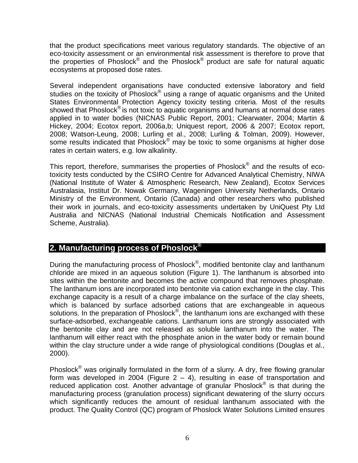that the product specifications meet various regulatory standards. The objective of an eco-toxicity assessment or an environmental risk assessment is therefore to prove that the properties of Phoslock® and the Phoslock® product are safe for natural aquatic ecosystems at proposed dose rates.

Several independent organisations have conducted extensive laboratory and field studies on the toxicity of Phoslock® using a range of aquatic organisms and the United States Environmental Protection Agency toxicity testing criteria. Most of the results showed that Phoslock<sup>®</sup> is not toxic to aquatic organisms and humans at normal dose rates applied in to water bodies (NICNAS Public Report, 2001; Clearwater, 2004; Martin & Hickey, 2004; Ecotox report, 2006a,b; Uniquest report, 2006 & 2007; Ecotox report, 2008; Watson-Leung, 2008; Lurling et al., 2008; Lurling & Tolman, 2009). However, some results indicated that Phoslock<sup>®</sup> may be toxic to some organisms at higher dose rates in certain waters, e.g. low alkalinity.

This report, therefore, summarises the properties of Phoslock<sup>®</sup> and the results of ecotoxicity tests conducted by the CSIRO Centre for Advanced Analytical Chemistry, NIWA (National Institute of Water & Atmospheric Research, New Zealand), Ecotox Services Australasia, Institut Dr. Nowak Germany, Wageningen University Netherlands, Ontario Ministry of the Environment, Ontario (Canada) and other researchers who published their work in journals, and eco-toxicity assessments undertaken by UniQuest Pty Ltd Australia and NICNAS (National Industrial Chemicals Notification and Assessment Scheme, Australia).

## <span id="page-6-0"></span>**2. Manufacturing process of Phoslock®**

During the manufacturing process of Phoslock<sup>®</sup>, modified bentonite clay and lanthanum chloride are mixed in an aqueous solution (Figure 1). The lanthanum is absorbed into sites within the bentonite and becomes the active compound that removes phosphate. The lanthanum ions are incorporated into bentonite via cation exchange in the clay. This exchange capacity is a result of a charge imbalance on the surface of the clay sheets, which is balanced by surface adsorbed cations that are exchangeable in aqueous solutions. In the preparation of Phoslock<sup>®</sup>, the lanthanum ions are exchanged with these surface-adsorbed, exchangeable cations. Lanthanum ions are strongly associated with the bentonite clay and are not released as soluble lanthanum into the water. The lanthanum will either react with the phosphate anion in the water body or remain bound within the clay structure under a wide range of physiological conditions (Douglas et al., 2000).

Phoslock® was originally formulated in the form of a slurry. A dry, free flowing granular form was developed in 2004 (Figure  $2 - 4$ ), resulting in ease of transportation and reduced application cost. Another advantage of granular Phoslock® is that during the manufacturing process (granulation process) significant dewatering of the slurry occurs which significantly reduces the amount of residual lanthanum associated with the product. The Quality Control (QC) program of Phoslock Water Solutions Limited ensures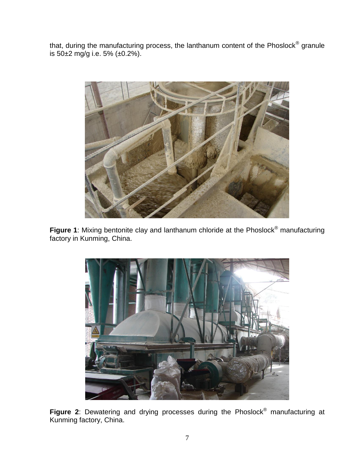that, during the manufacturing process, the lanthanum content of the Phoslock<sup>®</sup> granule is 50±2 mg/g i.e. 5% (±0.2%).



**Figure 1**: Mixing bentonite clay and lanthanum chloride at the Phoslock<sup>®</sup> manufacturing factory in Kunming, China.



**Figure 2**: Dewatering and drying processes during the Phoslock® manufacturing at Kunming factory, China.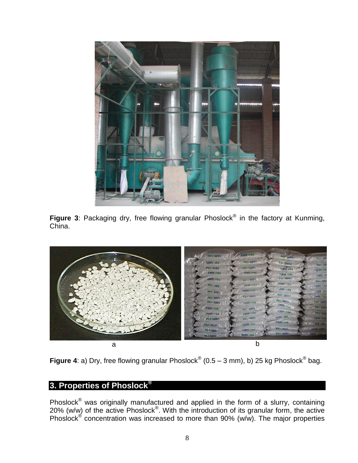

Figure 3: Packaging dry, free flowing granular Phoslock<sup>®</sup> in the factory at Kunming, China.



**Figure 4**: a) Dry, free flowing granular Phoslock<sup>®</sup> (0.5 – 3 mm), b) 25 kg Phoslock<sup>®</sup> bag.

#### <span id="page-8-0"></span>**3. Properties of Phoslock®**

Phoslock<sup>®</sup> was originally manufactured and applied in the form of a slurry, containing 20% (w/w) of the active  $Phoslock^{\circledast}$ . With the introduction of its granular form, the active Phoslock<sup>®</sup> concentration was increased to more than 90% (w/w). The major properties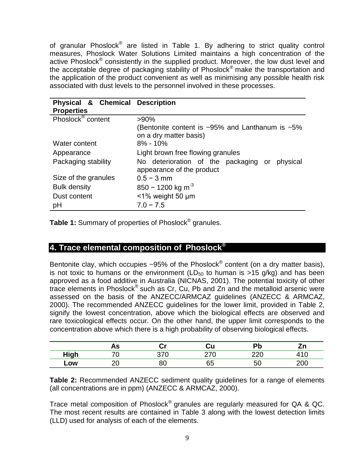of granular Phoslock<sup>®</sup> are listed in Table 1. By adhering to strict quality control measures, Phoslock Water Solutions Limited maintains a high concentration of the active Phoslock® consistently in the supplied product. Moreover, the low dust level and the acceptable degree of packaging stability of Phoslock® make the transportation and the application of the product convenient as well as minimising any possible health risk associated with dust levels to the personnel involved in these processes.

| Physical & Chemical Description |                                                                            |  |  |  |  |
|---------------------------------|----------------------------------------------------------------------------|--|--|--|--|
| <b>Properties</b>               |                                                                            |  |  |  |  |
| Phoslock <sup>®</sup> content   | $>90\%$                                                                    |  |  |  |  |
|                                 | (Bentonite content is $\sim 95\%$ and Lanthanum is $\sim 5\%$              |  |  |  |  |
|                                 | on a dry matter basis)                                                     |  |  |  |  |
| Water content                   | $8\% - 10\%$                                                               |  |  |  |  |
| Appearance                      | Light brown free flowing granules                                          |  |  |  |  |
| Packaging stability             | No deterioration of the packaging or physical<br>appearance of the product |  |  |  |  |
| Size of the granules            | $0.5 - 3$ mm                                                               |  |  |  |  |
| <b>Bulk density</b>             | 850 - 1200 kg m <sup>-3</sup>                                              |  |  |  |  |
| Dust content                    | $<$ 1% weight 50 µm                                                        |  |  |  |  |
| pH                              | $7.0 - 7.5$                                                                |  |  |  |  |

**Table 1:** Summary of properties of Phoslock® granules.

## <span id="page-9-0"></span>**4. Trace elemental composition of Phoslock®**

Bentonite clay, which occupies ~95% of the Phoslock<sup>®</sup> content (on a dry matter basis), is not toxic to humans or the environment ( $LD_{50}$  to human is >15 g/kg) and has been approved as a food additive in Australia (NICNAS, 2001). The potential toxicity of other trace elements in Phoslock<sup>®</sup> such as Cr, Cu, Pb and Zn and the metalloid arsenic were assessed on the basis of the ANZECC/ARMCAZ guidelines (ANZECC & ARMCAZ, 2000). The recommended ANZECC guidelines for the lower limit, provided in Table 2, signify the lowest concentration, above which the biological effects are observed and rare toxicological effects occur. On the other hand, the upper limit corresponds to the concentration above which there is a high probability of observing biological effects.

|               | -<br>лэ |    | -n | . |
|---------------|---------|----|----|---|
| ⊣inh<br>צוו ו |         |    |    |   |
| Low           | - -     | 05 | ь, |   |

**Table 2:** Recommended ANZECC sediment quality guidelines for a range of elements (all concentrations are in ppm) (ANZECC & ARMCAZ, 2000).

Trace metal composition of Phoslock<sup>®</sup> granules are regularly measured for QA & QC. The most recent results are contained in Table 3 along with the lowest detection limits (LLD) used for analysis of each of the elements.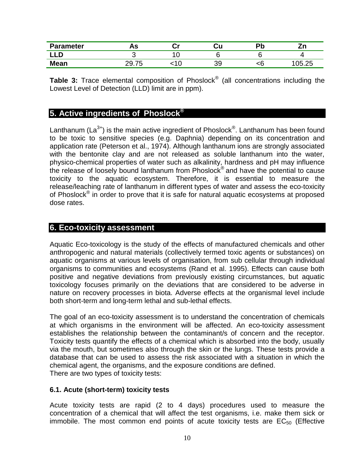| <b>Parameter</b> | 75 | Cu        |   | −.       |
|------------------|----|-----------|---|----------|
|                  |    |           |   |          |
| <b>Mean</b>      |    | ה ר<br>ວະ | י | ∩ҕ<br>つら |

**Table 3:** Trace elemental composition of Phoslock® (all concentrations including the Lowest Level of Detection (LLD) limit are in ppm).

## <span id="page-10-0"></span>**5. Active ingredients of Phoslock®**

Lanthanum (La<sup>3+</sup>) is the main active ingredient of Phoslock<sup>®</sup>. Lanthanum has been found to be toxic to sensitive species (e.g. Daphnia) depending on its concentration and application rate (Peterson et al., 1974). Although lanthanum ions are strongly associated with the bentonite clay and are not released as soluble lanthanum into the water, physico-chemical properties of water such as alkalinity, hardness and pH may influence the release of loosely bound lanthanum from Phoslock® and have the potential to cause toxicity to the aquatic ecosystem. Therefore, it is essential to measure the release/leaching rate of lanthanum in different types of water and assess the eco-toxicity of Phoslock<sup>®</sup> in order to prove that it is safe for natural aquatic ecosystems at proposed dose rates.

#### <span id="page-10-1"></span>**6. Eco-toxicity assessment**

Aquatic Eco-toxicology is the study of the effects of manufactured chemicals and other anthropogenic and natural materials (collectively termed toxic agents or substances) on aquatic organisms at various levels of organisation, from sub cellular through individual organisms to communities and ecosystems (Rand et al. 1995). Effects can cause both positive and negative deviations from previously existing circumstances, but aquatic toxicology focuses primarily on the deviations that are considered to be adverse in nature on recovery processes in biota. Adverse effects at the organismal level include both short-term and long-term lethal and sub-lethal effects.

The goal of an eco-toxicity assessment is to understand the concentration of chemicals at which organisms in the environment will be affected. An eco-toxicity assessment establishes the relationship between the contaminant/s of concern and the receptor. Toxicity tests quantify the effects of a chemical which is absorbed into the body, usually via the mouth, but sometimes also through the skin or the lungs. These tests provide a database that can be used to assess the risk associated with a situation in which the chemical agent, the organisms, and the exposure conditions are defined. There are two types of toxicity tests:

#### <span id="page-10-2"></span>**6.1. Acute (short-term) toxicity tests**

Acute toxicity tests are rapid (2 to 4 days) procedures used to measure the concentration of a chemical that will affect the test organisms, i.e. make them sick or immobile. The most common end points of acute toxicity tests are  $EC_{50}$  (Effective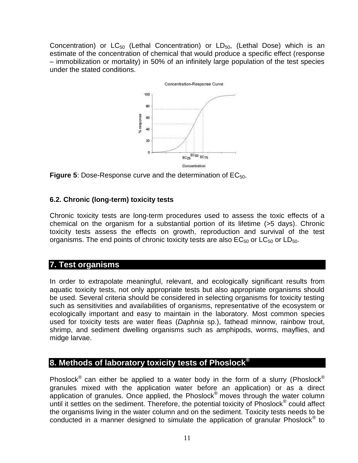Concentration) or  $LC_{50}$  (Lethal Concentration) or  $LD_{50}$ , (Lethal Dose) which is an estimate of the concentration of chemical that would produce a specific effect (response – immobilization or mortality) in 50% of an infinitely large population of the test species under the stated conditions.



**Figure 5:** Dose-Response curve and the determination of EC<sub>50</sub>.

#### <span id="page-11-0"></span>**6.2. Chronic (long-term) toxicity tests**

Chronic toxicity tests are long-term procedures used to assess the toxic effects of a chemical on the organism for a substantial portion of its lifetime (>5 days). Chronic toxicity tests assess the effects on growth, reproduction and survival of the test organisms. The end points of chronic toxicity tests are also  $EC_{50}$  or  $LC_{50}$  or  $LD_{50}$ .

#### <span id="page-11-1"></span>**7. Test organisms**

In order to extrapolate meaningful, relevant, and ecologically significant results from aquatic toxicity tests, not only appropriate tests but also appropriate organisms should be used. Several criteria should be considered in selecting organisms for toxicity testing such as sensitivities and availabilities of organisms, representative of the ecosystem or ecologically important and easy to maintain in the laboratory. Most common species used for toxicity tests are water fleas (*Daphnia* sp.), fathead minnow, rainbow trout, shrimp, and sediment dwelling organisms such as amphipods, worms, mayflies, and midge larvae.

#### <span id="page-11-2"></span>**8. Methods of laboratory toxicity tests of Phoslock®**

Phoslock<sup>®</sup> can either be applied to a water body in the form of a slurry (Phoslock<sup>®</sup> granules mixed with the application water before an application) or as a direct application of granules. Once applied, the Phoslock<sup>®</sup> moves through the water column until it settles on the sediment. Therefore, the potential toxicity of Phoslock<sup>®</sup> could affect the organisms living in the water column and on the sediment. Toxicity tests needs to be conducted in a manner designed to simulate the application of granular Phoslock<sup>®</sup> to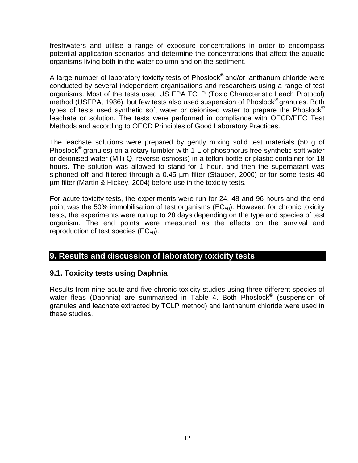freshwaters and utilise a range of exposure concentrations in order to encompass potential application scenarios and determine the concentrations that affect the aquatic organisms living both in the water column and on the sediment.

A large number of laboratory toxicity tests of Phoslock<sup>®</sup> and/or lanthanum chloride were conducted by several independent organisations and researchers using a range of test organisms. Most of the tests used US EPA TCLP (Toxic Characteristic Leach Protocol) method (USEPA, 1986), but few tests also used suspension of Phoslock<sup>®</sup> granules. Both types of tests used synthetic soft water or deionised water to prepare the Phoslock<sup>®</sup> leachate or solution. The tests were performed in compliance with OECD/EEC Test Methods and according to OECD Principles of Good Laboratory Practices.

The leachate solutions were prepared by gently mixing solid test materials (50 g of Phoslock<sup>®</sup> granules) on a rotary tumbler with 1 L of phosphorus free synthetic soft water or deionised water (Milli-Q, reverse osmosis) in a teflon bottle or plastic container for 18 hours. The solution was allowed to stand for 1 hour, and then the supernatant was siphoned off and filtered through a 0.45 µm filter (Stauber, 2000) or for some tests 40 µm filter (Martin & Hickey, 2004) before use in the toxicity tests.

For acute toxicity tests, the experiments were run for 24, 48 and 96 hours and the end point was the 50% immobilisation of test organisms ( $EC_{50}$ ). However, for chronic toxicity tests, the experiments were run up to 28 days depending on the type and species of test organism. The end points were measured as the effects on the survival and reproduction of test species  $(EC_{50})$ .

#### <span id="page-12-0"></span>**9. Results and discussion of laboratory toxicity tests**

#### <span id="page-12-1"></span>**9.1. Toxicity tests using Daphnia**

Results from nine acute and five chronic toxicity studies using three different species of water fleas (Daphnia) are summarised in Table 4. Both Phoslock<sup>®</sup> (suspension of granules and leachate extracted by TCLP method) and lanthanum chloride were used in these studies.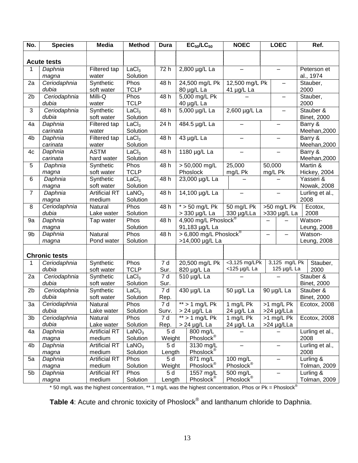| No.            | <b>Species</b>       | <b>Media</b>            | <b>Method</b>       | <b>Dura</b>      |                      | $EC_{50}/LC_{50}$                   | <b>NOEC</b>                     |                               | <b>LOEC</b>              |         | Ref.                            |
|----------------|----------------------|-------------------------|---------------------|------------------|----------------------|-------------------------------------|---------------------------------|-------------------------------|--------------------------|---------|---------------------------------|
|                |                      |                         |                     |                  |                      |                                     |                                 |                               |                          |         |                                 |
|                | <b>Acute tests</b>   |                         |                     |                  |                      |                                     |                                 |                               |                          |         |                                 |
| 1              | Daphnia              | Filtered tap            | LaCl <sub>3</sub>   | 72 h             |                      | 2,800 µg/L La                       | $\qquad \qquad -$               |                               | $\overline{\phantom{m}}$ |         | Peterson et                     |
|                | magna                | water                   | Solution            |                  |                      |                                     |                                 |                               |                          |         | al., 1974                       |
| 2a             | Ceriodaphnia         | Synthetic               | Phos                | 48 h             |                      | 24,500 mg/L Pk                      | 12,500 mg/L Pk                  |                               |                          |         | Stauber,                        |
|                | dubia                | soft water              | <b>TCLP</b>         |                  |                      | 80 µg/L La                          | 41 µg/L La                      |                               |                          | 2000    |                                 |
| 2 <sub>b</sub> | Ceriodaphnia         | Milli-Q                 | Phos                | 48 h             |                      | 5,000 mg/L Pk                       |                                 |                               | —                        |         | Stauber,                        |
|                | dubia                | water                   | <b>TCLP</b>         |                  |                      | 40 µg/L La                          |                                 |                               |                          | 2000    |                                 |
| 3              | Ceriodaphnia         | Synthetic               | LaCl <sub>3</sub>   | 48 h             |                      | 5,000 µg/L La                       | 2,600 µg/L La                   |                               | -                        |         | Stauber &                       |
|                | dubia                | soft water              | Solution            |                  |                      |                                     |                                 |                               |                          |         | <b>Binet, 2000</b>              |
| 4a             | Daphnia              | Filtered tap            | LaCl <sub>3</sub>   | 24 h             |                      | 484.5 µg/L La                       |                                 |                               |                          |         | Barry &                         |
|                | carinata             | water                   | Solution            |                  |                      |                                     |                                 |                               |                          |         | Meehan, 2000                    |
| 4b             | Daphnia              | Filtered tap            | LaCl <sub>3</sub>   | 48 h             |                      | 43 µg/L La                          |                                 |                               |                          |         | Barry &                         |
|                | carinata             | water                   | Solution            |                  |                      |                                     |                                 |                               |                          |         | Meehan, 2000                    |
| 4c             | Daphnia              | <b>ASTM</b>             | LaCl <sub>3</sub>   | 48 h             |                      | 1180 µg/L La                        |                                 |                               |                          |         | Barry &                         |
|                | carinata             | hard water              | Solution            |                  |                      |                                     |                                 |                               |                          |         | Meehan, 2000                    |
| 5              | Daphnia              | Synthetic               | Phos<br><b>TCLP</b> | 48 h             |                      | $> 50,000$ mg/L                     | 25,000                          | 50,000                        |                          |         | Martin &                        |
| 6              | magna                | soft water              | LaCl <sub>3</sub>   | 48 h             |                      | Phoslock<br>23,000 µg/L La          | mg/L Pk                         |                               | mg/L Pk                  |         | Hickey, 2004<br>Yasseri &       |
|                | Daphnia              | Synthetic<br>soft water | Solution            |                  |                      |                                     |                                 |                               |                          |         | Nowak, 2008                     |
| $\overline{7}$ | magna<br>Daphnia     | <b>Artificial RT</b>    | LaNO <sub>3</sub>   | 48 h             |                      | 14,100 µg/L La                      | $\qquad \qquad$                 |                               |                          |         | Lurling et al.,                 |
|                | magna                | medium                  | Solution            |                  |                      |                                     |                                 |                               |                          | 2008    |                                 |
| 8              | Ceriodaphnia         | Natural                 | Phos                | 48 h             |                      | $*$ > 50 mg/L Pk                    | 50 mg/L Pk                      |                               |                          |         | Ecotox,                         |
|                | dubia                | Lake water              | Solution            |                  |                      | $>$ 330 µg/L La                     | 330 µg/LLa                      | $>50$ mg/L Pk<br>>330 µg/L La |                          |         | 2008                            |
| 9a             | Daphnia              | Tap water               | Phos                | 48 h             | 4,900 mg/L Phoslock® |                                     |                                 |                               |                          | Watson- |                                 |
|                | magna                |                         | Solution            |                  |                      | 91,183 µg/L La                      |                                 |                               |                          |         | Leung, 2008                     |
| 9b             | Daphnia              | Natural                 | Phos                | 48 h             |                      | > 6,800 mg/L Phoslock <sup>®</sup>  |                                 | $\overline{\phantom{m}}$      | $\overline{\phantom{0}}$ |         | Watson-                         |
|                | magna                | Pond water              | Solution            |                  |                      | >14,000 µg/L La                     |                                 |                               |                          |         | Leung, 2008                     |
|                |                      |                         |                     |                  |                      |                                     |                                 |                               |                          |         |                                 |
|                | <b>Chronic tests</b> |                         |                     |                  |                      |                                     |                                 |                               |                          |         |                                 |
| $\mathbf 1$    | Ceriodaphnia         | Synthetic               | Phos                | $\overline{7}$ d |                      | 20,500 mg/L Pk                      | <3,125 mg/LPk                   |                               | 3,125 mg/L Pk            |         | Stauber,                        |
|                | dubia                | soft water              | <b>TCLP</b>         | Sur.             |                      | 820 µg/L La                         | <125 µg/L La                    |                               | 125 µg/L La              |         | 2000                            |
| 2a             | Ceriodaphnia         | Synthetic               | LaCl <sub>3</sub>   | $\overline{7}$ d |                      | 510 µg/L La                         |                                 |                               |                          |         | Stauber &                       |
|                | dubia                | soft water              | Solution            | Sur.             |                      |                                     |                                 |                               |                          |         | <b>Binet, 2000</b>              |
| 2 <sub>b</sub> | Ceriodaphnia         | Synthetic               | LaCl <sub>3</sub>   | $\overline{7}$ d |                      | 430 µg/L La                         | 50 µg/L La                      |                               | 90 µg/L La               |         | Stauber &                       |
|                | dubia                | soft water              | Solution            | Rep.             |                      |                                     |                                 |                               |                          |         | <b>Binet, 2000</b>              |
| 3a             | Ceriodaphnia         | Natural                 | Phos                | 7 d              |                      | $**$ > 1 mg/L Pk                    | $\overline{1 \text{ mg}}$ /L Pk |                               | >1 mg/L Pk               |         | Ecotox, 2008                    |
|                | dubia                | Lake water              | Solution            | Surv.            |                      | $> 24$ µg/L La                      | 24 µg/L La                      |                               | >24 µg/LLa               |         |                                 |
| 3 <sub>b</sub> | Ceriodaphnia         | Natural                 | Phos                | 7 d              |                      | $**$ > 1 mg/L Pk                    | 1 mg/L Pk                       |                               | >1 mg/L Pk               |         | Ecotox, 2008                    |
|                | dubia                | Lake water              | Solution            | Rep.             |                      | $> 24$ µg/L La                      | 24 µg/L La                      |                               | $>24$ µg/LLa             |         |                                 |
| 4a             | Daphnia              | <b>Artificial RT</b>    | LaNO <sub>3</sub>   | 5d               |                      | 800 mg/L                            |                                 |                               |                          |         | Lurling et al.,                 |
|                | magna                | medium                  | Solution            | Weight           | Phoslock®            |                                     | 2008                            |                               |                          |         |                                 |
| 4b             | Daphnia              | <b>Artificial RT</b>    | LaNO <sub>3</sub>   | 5 d              |                      | 3130 mg/L<br>$\qquad \qquad \qquad$ |                                 |                               | Lurling et al.,          |         |                                 |
|                | magna                | medium                  | Solution            | Length           |                      | Phoslock®                           |                                 |                               |                          | 2008    |                                 |
| 5a             | Daphnia              | <b>Artificial RT</b>    | Phos                | 5 d              |                      | 871 mg/L                            | 100 mg/L                        |                               |                          |         | Lurling &                       |
|                | magna                | medium                  | Solution            | Weight           |                      | Phoslock <sup>®</sup>               | Phoslock <sup>®</sup>           |                               |                          |         | <b>Tolman, 2009</b>             |
| 5b             | Daphnia              | <b>Artificial RT</b>    | Phos                | 5 d              |                      | 1557 mg/L                           | 500 mg/L                        |                               |                          |         | Lurling $\overline{\mathbf{g}}$ |
|                | magna                | medium                  | Solution            | Length           |                      | Phoslock <sup>®</sup>               | Phoslock <sup>®</sup>           |                               |                          |         | Tolman, 2009                    |

\* 50 mg/L was the highest concentration, \*\* 1 mg/L was the highest concentration, Phos or Pk = Phoslock<sup>®</sup>

**Table 4**: Acute and chronic toxicity of Phoslock® and lanthanum chloride to Daphnia.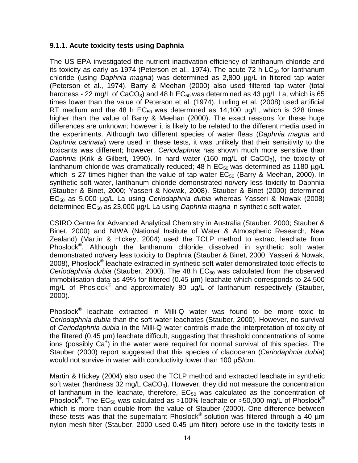#### <span id="page-14-0"></span>**9.1.1. Acute toxicity tests using Daphnia**

The US EPA investigated the nutrient inactivation efficiency of lanthanum chloride and its toxicity as early as 1974 (Peterson et al., 1974). The acute 72 h  $LC_{50}$  for lanthanum chloride (using *Daphnia magna*) was determined as 2,800 µg/L in filtered tap water (Peterson et al., 1974). Barry & Meehan (2000) also used filtered tap water (total hardness - 22 mg/L of CaCO<sub>3</sub>) and 48 h  $EC_{50}$  was determined as 43  $\mu$ g/L La, which is 65 times lower than the value of Peterson et al. (1974). Lurling et al. (2008) used artificial RT medium and the 48 h  $EC_{50}$  was determined as 14,100  $\mu$ g/L, which is 328 times higher than the value of Barry & Meehan (2000). The exact reasons for these huge differences are unknown; however it is likely to be related to the different media used in the experiments. Although two different species of water fleas (*Daphnia magna* and *Daphnia carinata*) were used in these tests, it was unlikely that their sensitivity to the toxicants was different; however, *Ceriodaphnia* has shown much more sensitive than *Daphnia* (Krik & Gilbert, 1990). In hard water (160 mg/L of CaCO<sub>3</sub>), the toxicity of lanthanum chloride was dramatically reduced; 48 h  $EC_{50}$  was determined as 1180  $\mu$ g/L which is 27 times higher than the value of tap water  $EC_{50}$  (Barry & Meehan, 2000). In synthetic soft water, lanthanum chloride demonstrated no/very less toxicity to Daphnia (Stauber & Binet, 2000; Yasseri & Nowak, 2008). Stauber & Binet (2000) determined EC<sup>50</sup> as 5,000 µg/L La using *Ceriodaphnia dubia* whereas Yasseri & Nowak (2008) determined EC<sup>50</sup> as 23,000 µg/L La using *Daphnia magna* in synthetic soft water.

CSIRO Centre for Advanced Analytical Chemistry in Australia (Stauber, 2000; Stauber & Binet, 2000) and NIWA (National Institute of Water & Atmospheric Research, New Zealand) (Martin & Hickey, 2004) used the TCLP method to extract leachate from Phoslock<sup>®</sup>. Although the lanthanum chloride dissolved in synthetic soft water demonstrated no/very less toxicity to Daphnia (Stauber & Binet, 2000; Yasseri & Nowak, 2008), Phoslock® leachate extracted in synthetic soft water demonstrated toxic effects to *Ceriodaphnia dubia* (Stauber, 2000). The 48 h EC<sub>50</sub> was calculated from the observed immobilisation data as 49% for filtered (0.45 µm) leachate which corresponds to 24,500 mg/L of Phoslock<sup>®</sup> and approximately 80 ug/L of lanthanum respectively (Stauber, 2000).

Phoslock<sup>®</sup> leachate extracted in Milli-Q water was found to be more toxic to *Ceriodaphnia dubia* than the soft water leachates (Stauber, 2000). However, no survival of *Ceriodaphnia dubia* in the Milli-Q water controls made the interpretation of toxicity of the filtered (0.45 µm) leachate difficult, suggesting that threshold concentrations of some ions (possibly Ca<sup>+</sup>) in the water were required for normal survival of this species. The Stauber (2000) report suggested that this species of cladoceran (*Ceriodaphnia dubia*) would not survive in water with conductivity lower than 100 μS/cm.

Martin & Hickey (2004) also used the TCLP method and extracted leachate in synthetic soft water (hardness 32 mg/L CaCO<sub>3</sub>). However, they did not measure the concentration of lanthanum in the leachate, therefore,  $EC_{50}$  was calculated as the concentration of Phoslock<sup>®</sup>. The EC<sub>50</sub> was calculated as >100% leachate or >50,000 mg/L of Phoslock<sup>®</sup> which is more than double from the value of Stauber (2000). One difference between these tests was that the supernatant Phoslock® solution was filtered through a 40  $\mu$ m nylon mesh filter (Stauber, 2000 used 0.45 µm filter) before use in the toxicity tests in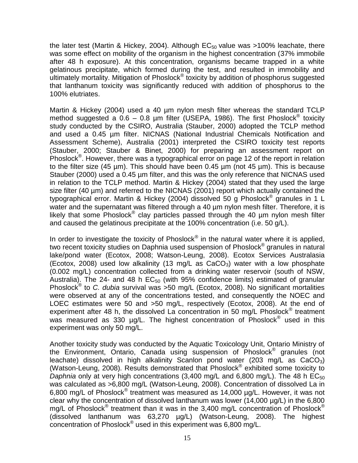the later test (Martin & Hickey, 2004). Although  $EC_{50}$  value was >100% leachate, there was some effect on mobility of the organism in the highest concentration (37% immobile after 48 h exposure). At this concentration, organisms became trapped in a white gelatinous precipitate, which formed during the test, and resulted in immobility and ultimately mortality. Mitigation of Phoslock<sup>®</sup> toxicity by addition of phosphorus suggested that lanthanum toxicity was significantly reduced with addition of phosphorus to the 100% elutriates.

Martin & Hickey (2004) used a 40 µm nylon mesh filter whereas the standard TCLP method suggested a  $0.6 - 0.8$  µm filter (USEPA, 1986). The first Phoslock<sup>®</sup> toxicity study conducted by the CSIRO, Australia (Stauber, 2000) adopted the TCLP method and used a 0.45 µm filter. NICNAS (National Industrial Chemicals Notification and Assessment Scheme), Australia (2001) interpreted the CSIRO toxicity test reports (Stauber, 2000; Stauber & Binet, 2000) for preparing an assessment report on Phoslock<sup>®</sup>. However, there was a typographical error on page 12 of the report in relation to the filter size (45  $\mu$ m). This should have been 0.45  $\mu$ m (not 45  $\mu$ m). This is because Stauber (2000) used a 0.45 µm filter, and this was the only reference that NICNAS used in relation to the TCLP method. Martin & Hickey (2004) stated that they used the large size filter (40 µm) and referred to the NICNAS (2001) report which actually contained the typographical error. Martin & Hickey (2004) dissolved 50 g Phoslock® granules in 1 L water and the supernatant was filtered through a 40 um nylon mesh filter. Therefore, it is likely that some Phoslock<sup>®</sup> clay particles passed through the 40  $\mu$ m nylon mesh filter and caused the gelatinous precipitate at the 100% concentration (i.e. 50 g/L).

In order to investigate the toxicity of Phoslock<sup>®</sup> in the natural water where it is applied, two recent toxicity studies on Daphnia used suspension of Phoslock<sup>®</sup> granules in natural lake/pond water (Ecotox, 2008; Watson-Leung, 2008). Ecotox Services Australasia (Ecotox, 2008) used low alkalinity (13 mg/L as  $CaCO<sub>3</sub>$ ) water with a low phosphate (0.002 mg/L) concentration collected from a drinking water reservoir (south of NSW, Australia). The 24- and 48 h  $EC_{50}$  (with 95% confidence limits) estimated of granular Phoslock<sup>®</sup> to *C. dubia* survival was >50 mg/L (Ecotox, 2008). No significant mortalities were observed at any of the concentrations tested, and consequently the NOEC and LOEC estimates were 50 and >50 mg/L, respectively (Ecotox, 2008). At the end of experiment after 48 h, the dissolved La concentration in 50 mg/L Phoslock<sup>®</sup> treatment was measured as 330  $\mu$ g/L. The highest concentration of Phoslock<sup>®</sup> used in this experiment was only 50 mg/L.

Another toxicity study was conducted by the Aquatic Toxicology Unit, Ontario Ministry of the Environment, Ontario, Canada using suspension of Phoslock® granules (not leachate) dissolved in high alkalinity Scanlon pond water (203 mg/L as  $CaCO<sub>3</sub>$ ) (Watson-Leung, 2008). Results demonstrated that Phoslock® exhibited some toxicity to *Daphnia* only at very high concentrations  $(3,400 \text{ mg/L} \text{ and } 6,800 \text{ mg/L})$ . The 48 h  $EC_{50}$ was calculated as >6,800 mg/L (Watson-Leung, 2008). Concentration of dissolved La in 6,800 mg/L of Phoslock<sup>®</sup> treatment was measured as 14,000 µg/L. However, it was not clear why the concentration of dissolved lanthanum was lower (14,000 µg/L) in the 6,800 mg/L of Phoslock<sup>®</sup> treatment than it was in the 3,400 mg/L concentration of Phoslock<sup>®</sup> (dissolved lanthanum was 63,270 µg/L) (Watson-Leung, 2008). The highest concentration of Phoslock<sup>®</sup> used in this experiment was 6,800 mg/L.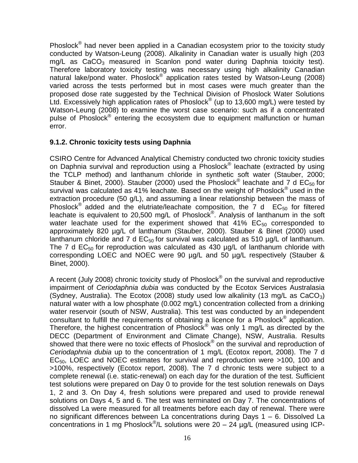Phoslock<sup>®</sup> had never been applied in a Canadian ecosystem prior to the toxicity study conducted by Watson-Leung (2008). Alkalinity in Canadian water is usually high (203  $mq/L$  as  $CaCO<sub>3</sub>$  measured in Scanlon pond water during Daphnia toxicity test). Therefore laboratory toxicity testing was necessary using high alkalinity Canadian natural lake/pond water. Phoslock<sup>®</sup> application rates tested by Watson-Leung (2008) varied across the tests performed but in most cases were much greater than the proposed dose rate suggested by the Technical Division of Phoslock Water Solutions Ltd. Excessively high application rates of Phoslock $^{\circledR}$  (up to 13,600 mg/L) were tested by Watson-Leung (2008) to examine the worst case scenario: such as if a concentrated pulse of Phoslock<sup>®</sup> entering the ecosystem due to equipment malfunction or human error.

#### <span id="page-16-0"></span>**9.1.2. Chronic toxicity tests using Daphnia**

CSIRO Centre for Advanced Analytical Chemistry conducted two chronic toxicity studies on Daphnia survival and reproduction using a Phoslock<sup>®</sup> leachate (extracted by using the TCLP method) and lanthanum chloride in synthetic soft water (Stauber, 2000; Stauber & Binet, 2000). Stauber (2000) used the Phoslock<sup>®</sup> leachate and  $\overline{7}$  d EC<sub>50</sub> for survival was calculated as 41% leachate. Based on the weight of Phoslock® used in the extraction procedure (50 g/L), and assuming a linear relationship between the mass of Phoslock<sup>®</sup> added and the elutriate/leachate composition, the  $7$  d  $EC_{50}$  for filtered leachate is equivalent to 20,500 mg/L of Phoslock $^{\circledR}$ . Analysis of lanthanum in the soft water leachate used for the experiment showed that  $41\%$  EC<sub>50</sub> corresponded to approximately 820 µg/L of lanthanum (Stauber, 2000). Stauber & Binet (2000) used lanthanum chloride and 7 d  $EC_{50}$  for survival was calculated as 510  $\mu q/L$  of lanthanum. The 7 d  $EC_{50}$  for reproduction was calculated as 430  $\mu$ g/L of lanthanum chloride with corresponding LOEC and NOEC were 90 µg/L and 50 µg/L respectively (Stauber & Binet, 2000).

A recent (July 2008) chronic toxicity study of Phoslock® on the survival and reproductive impairment of *Ceriodaphnia dubia* was conducted by the Ecotox Services Australasia (Sydney, Australia). The Ecotox (2008) study used low alkalinity (13 mg/L as  $CaCO<sub>3</sub>$ ) natural water with a low phosphate (0.002 mg/L) concentration collected from a drinking water reservoir (south of NSW, Australia). This test was conducted by an independent consultant to fulfill the requirements of obtaining a licence for a Phoslock<sup>®</sup> application. Therefore, the highest concentration of Phoslock<sup>®</sup> was only 1 mg/L as directed by the DECC (Department of Environment and Climate Change), NSW, Australia. Results showed that there were no toxic effects of Phoslock® on the survival and reproduction of *Ceriodaphnia dubia* up to the concentration of 1 mg/L (Ecotox report, 2008). The 7 d  $EC<sub>50</sub>$ , LOEC and NOEC estimates for survival and reproduction were  $>100$ , 100 and >100%, respectively (Ecotox report, 2008). The 7 d chronic tests were subject to a complete renewal (i.e. static-renewal) on each day for the duration of the test. Sufficient test solutions were prepared on Day 0 to provide for the test solution renewals on Days 1, 2 and 3. On Day 4, fresh solutions were prepared and used to provide renewal solutions on Days 4, 5 and 6. The test was terminated on Day 7. The concentrations of dissolved La were measured for all treatments before each day of renewal. There were no significant differences between La concentrations during Days 1 – 6. Dissolved La concentrations in 1 mg Phoslock<sup>®</sup>/L solutions were 20 - 24  $\mu$ g/L (measured using ICP-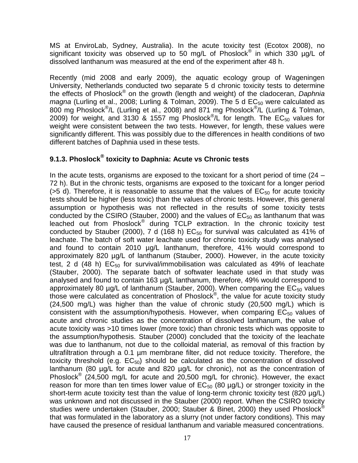MS at EnviroLab, Sydney, Australia). In the acute toxicity test (Ecotox 2008), no significant toxicity was observed up to 50 mg/L of Phoslock<sup>®</sup> in which 330 µg/L of dissolved lanthanum was measured at the end of the experiment after 48 h.

Recently (mid 2008 and early 2009), the aquatic ecology group of Wageningen University, Netherlands conducted two separate 5 d chronic toxicity tests to determine the effects of Phoslock® on the growth (length and weight) of the cladoceran, *Daphnia magna* (Lurling et al., 2008; Lurling & Tolman, 2009). The 5 d EC<sub>50</sub> were calculated as 800 mg Phoslock<sup>®</sup>/L (Lurling et al., 2008) and 871 mg Phoslock<sup>®</sup>/L (Lurling & Tolman, 2009) for weight, and 3130 & 1557 mg Phoslock<sup>®</sup>/L for length. The  $EC_{50}$  values for weight were consistent between the two tests. However, for length, these values were significantly different. This was possibly due to the differences in health conditions of two different batches of Daphnia used in these tests.

#### <span id="page-17-0"></span>**9.1.3. Phoslock® toxicity to Daphnia: Acute vs Chronic tests**

In the acute tests, organisms are exposed to the toxicant for a short period of time (24 – 72 h). But in the chronic tests, organisms are exposed to the toxicant for a longer period ( $>5$  d). Therefore, it is reasonable to assume that the values of  $EC_{50}$  for acute toxicity tests should be higher (less toxic) than the values of chronic tests. However, this general assumption or hypothesis was not reflected in the results of some toxicity tests conducted by the CSIRO (Stauber, 2000) and the values of  $EC_{50}$  as lanthanum that was leached out from Phoslock<sup>®</sup> during TCLP extraction. In the chronic toxicity test conducted by Stauber (2000), 7 d (168 h)  $EC_{50}$  for survival was calculated as 41% of leachate. The batch of soft water leachate used for chronic toxicity study was analysed and found to contain 2010 µg/L lanthanum, therefore, 41% would correspond to approximately 820 µg/L of lanthanum (Stauber, 2000). However, in the acute toxicity test, 2 d (48 h)  $EC_{50}$  for survival/immobilisation was calculated as 49% of leachate (Stauber, 2000). The separate batch of softwater leachate used in that study was analysed and found to contain 163 µg/L lanthanum, therefore, 49% would correspond to approximately 80  $\mu$ g/L of lanthanum (Stauber, 2000). When comparing the  $EC_{50}$  values those were calculated as concentration of Phoslock® , the value for acute toxicity study (24,500 mg/L) was higher than the value of chronic study (20,500 mg/L) which is consistent with the assumption/hypothesis. However, when comparing  $EC_{50}$  values of acute and chronic studies as the concentration of dissolved lanthanum, the value of acute toxicity was >10 times lower (more toxic) than chronic tests which was opposite to the assumption/hypothesis. Stauber (2000) concluded that the toxicity of the leachate was due to lanthanum, not due to the colloidal material, as removal of this fraction by ultrafiltration through a 0.1 µm membrane filter, did not reduce toxicity. Therefore, the toxicity threshold (e.g.  $EC_{50}$ ) should be calculated as the concentration of dissolved lanthanum (80 µg/L for acute and 820 µg/L for chronic), not as the concentration of Phoslock<sup>®</sup> (24,500 mg/L for acute and 20,500 mg/L for chronic). However, the exact reason for more than ten times lower value of  $EC_{50}$  (80  $\mu$ g/L) or stronger toxicity in the short-term acute toxicity test than the value of long-term chronic toxicity test (820 µg/L) was unknown and not discussed in the Stauber (2000) report. When the CSIRO toxicity studies were undertaken (Stauber, 2000; Stauber & Binet, 2000) they used Phoslock® that was formulated in the laboratory as a slurry (not under factory conditions). This may have caused the presence of residual lanthanum and variable measured concentrations.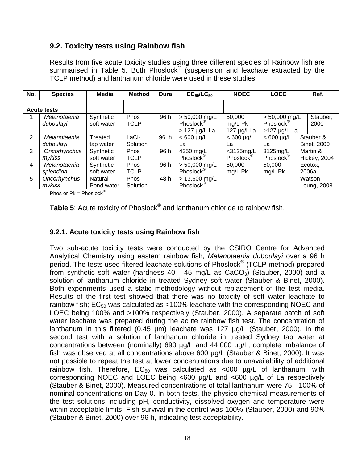#### <span id="page-18-0"></span>**9.2. Toxicity tests using Rainbow fish**

Results from five acute toxicity studies using three different species of Rainbow fish are summarised in Table 5. Both Phoslock<sup>®</sup> (suspension and leachate extracted by the TCLP method) and lanthanum chloride were used in these studies.

| No.            | <b>Species</b>            | Media                   | <b>Method</b>                 | Dura | $EC_{50}/LC_{50}$                                           | <b>NOEC</b>                           | <b>LOEC</b>                                                | Ref.                            |
|----------------|---------------------------|-------------------------|-------------------------------|------|-------------------------------------------------------------|---------------------------------------|------------------------------------------------------------|---------------------------------|
|                | <b>Acute tests</b>        |                         |                               |      |                                                             |                                       |                                                            |                                 |
|                | Melanotaenia<br>duboulayi | Synthetic<br>soft water | Phos<br><b>TCLP</b>           | 96 h | $> 50,000$ mg/L<br>Phoslock <sup>®</sup><br>$> 127$ µg/L La | 50,000<br>mg/L Pk<br>$127 \mu g/L$ La | $> 50,000$ mg/L<br>Phoslock <sup>®</sup><br>$>127$ µg/L La | Stauber,<br>2000                |
| $\overline{2}$ | Melanotaenia<br>duboulavi | Treated<br>tap water    | LaCl <sub>3</sub><br>Solution | 96 h | $< 600 \mu g/L$<br>La                                       | $< 600 \mu g/L$<br>La                 | $< 600 \mu g/L$<br>La                                      | Stauber &<br><b>Binet, 2000</b> |
| 3              | Oncorhynchus<br>mvkiss    | Synthetic<br>soft water | <b>Phos</b><br><b>TCLP</b>    | 96 h | 4350 mg/L<br>Phoslock <sup>®</sup>                          | $<$ 3125mg/L<br>Phoslock <sup>®</sup> | 3125mg/L<br>Phoslock <sup>®</sup>                          | Martin &<br>Hickey, 2004        |
| 4              | Melanotaenia<br>splendida | Synthetic<br>soft water | Phos<br><b>TCLP</b>           | 96 h | $> 50,000$ mg/L<br>Phoslock <sup>®</sup>                    | 50,000<br>mg/L Pk                     | 50,000<br>mg/L Pk                                          | Ecotox,<br>2006a                |
| 5              | Oncorhynchus<br>mykiss    | Natural<br>Pond water   | Phos<br>Solution              | 48 h | $> 13,600$ mg/L<br>Phoslock <sup>®</sup>                    |                                       |                                                            | Watson-<br>Leung, 2008          |

Phos or  $Pk = Phoslock^®$ 

Table 5: Acute toxicity of Phoslock® and lanthanum chloride to rainbow fish.

#### <span id="page-18-1"></span>**9.2.1. Acute toxicity tests using Rainbow fish**

Two sub-acute toxicity tests were conducted by the CSIRO Centre for Advanced Analytical Chemistry using eastern rainbow fish, *Melanotaenia duboulayi* over a 96 h period. The tests used filtered leachate solutions of Phoslock<sup>®</sup> (TCLP method) prepared from synthetic soft water (hardness  $40 - 45$  mg/L as  $CaCO<sub>3</sub>$ ) (Stauber, 2000) and a solution of lanthanum chloride in treated Sydney soft water (Stauber & Binet, 2000). Both experiments used a static methodology without replacement of the test media. Results of the first test showed that there was no toxicity of soft water leachate to rainbow fish;  $EC_{50}$  was calculated as >100% leachate with the corresponding NOEC and LOEC being 100% and >100% respectively (Stauber, 2000). A separate batch of soft water leachate was prepared during the acute rainbow fish test. The concentration of lanthanum in this filtered (0.45 µm) leachate was 127 µg/L (Stauber, 2000). In the second test with a solution of lanthanum chloride in treated Sydney tap water at concentrations between (nominally) 690 µg/L and 44,000 µg/L, complete imbalance of fish was observed at all concentrations above 600 µg/L (Stauber & Binet, 2000). It was not possible to repeat the test at lower concentrations due to unavailability of additional rainbow fish. Therefore,  $EC_{50}$  was calculated as <600  $\mu$ g/L of lanthanum, with corresponding NOEC and LOEC being <600 µg/L and <600 µg/L of La respectively (Stauber & Binet, 2000). Measured concentrations of total lanthanum were 75 - 100% of nominal concentrations on Day 0. In both tests, the physico-chemical measurements of the test solutions including pH, conductivity, dissolved oxygen and temperature were within acceptable limits. Fish survival in the control was 100% (Stauber, 2000) and 90% (Stauber & Binet, 2000) over 96 h, indicating test acceptability.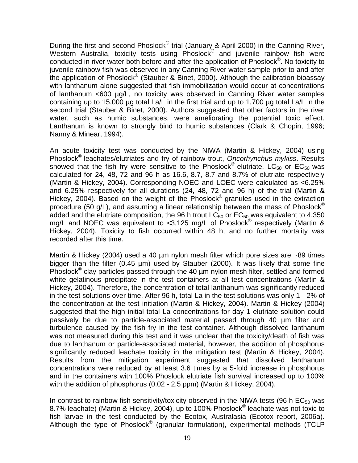During the first and second Phoslock® trial (January & April 2000) in the Canning River, Western Australia, toxicity tests using Phoslock® and juvenile rainbow fish were conducted in river water both before and after the application of Phoslock®. No toxicity to juvenile rainbow fish was observed in any Canning River water sample prior to and after the application of Phoslock® (Stauber & Binet, 2000). Although the calibration bioassay with lanthanum alone suggested that fish immobilization would occur at concentrations of lanthanum <600 µg/L, no toxicity was observed in Canning River water samples containing up to 15,000 µg total La/L in the first trial and up to 1,700 µg total La/L in the second trial (Stauber & Binet, 2000). Authors suggested that other factors in the river water, such as humic substances, were ameliorating the potential toxic effect. Lanthanum is known to strongly bind to humic substances (Clark & Chopin, 1996; Nanny & Minear, 1994).

An acute toxicity test was conducted by the NIWA (Martin & Hickey, 2004) using Phoslock® leachates/elutriates and fry of rainbow trout, *Oncorhynchus mykiss*. Results showed that the fish fry were sensitive to the Phoslock® elutriate. LC $_{50}$  or EC $_{50}$  was calculated for 24, 48, 72 and 96 h as 16.6, 8.7, 8.7 and 8.7% of elutriate respectively (Martin & Hickey, 2004). Corresponding NOEC and LOEC were calculated as <6.25% and 6.25% respectively for all durations (24, 48, 72 and 96 h) of the trial (Martin & Hickey, 2004). Based on the weight of the Phoslock<sup>®</sup> granules used in the extraction procedure (50 g/L), and assuming a linear relationship between the mass of Phoslock<sup>®</sup> added and the elutriate composition, the 96 h trout  $LC_{50}$  or  $EC_{50}$  was equivalent to 4,350 mg/L and NOEC was equivalent to <3,125 mg/L of Phoslock<sup>®</sup> respectively (Martin & Hickey, 2004). Toxicity to fish occurred within 48 h, and no further mortality was recorded after this time.

Martin & Hickey (2004) used a 40 µm nylon mesh filter which pore sizes are ~89 times bigger than the filter (0.45 µm) used by Stauber (2000). It was likely that some fine Phoslock<sup>®</sup> clay particles passed through the 40 µm nylon mesh filter, settled and formed white gelatinous precipitate in the test containers at all test concentrations (Martin & Hickey, 2004). Therefore, the concentration of total lanthanum was significantly reduced in the test solutions over time. After 96 h, total La in the test solutions was only 1 - 2% of the concentration at the test initiation (Martin & Hickey, 2004). Martin & Hickey (2004) suggested that the high initial total La concentrations for day 1 elutriate solution could passively be due to particle-associated material passed through 40 µm filter and turbulence caused by the fish fry in the test container. Although dissolved lanthanum was not measured during this test and it was unclear that the toxicity/death of fish was due to lanthanum or particle-associated material, however, the addition of phosphorus significantly reduced leachate toxicity in the mitigation test (Martin & Hickey, 2004). Results from the mitigation experiment suggested that dissolved lanthanum concentrations were reduced by at least 3.6 times by a 5-fold increase in phosphorus and in the containers with 100% Phoslock elutriate fish survival increased up to 100% with the addition of phosphorus (0.02 - 2.5 ppm) (Martin & Hickey, 2004).

In contrast to rainbow fish sensitivity/toxicity observed in the NIWA tests (96 h  $EC_{50}$  was 8.7% leachate) (Martin & Hickey, 2004), up to 100% Phoslock<sup>®</sup> leachate was not toxic to fish larvae in the test conducted by the Ecotox, Australasia (Ecotox report, 2006a). Although the type of Phoslock® (granular formulation), experimental methods (TCLP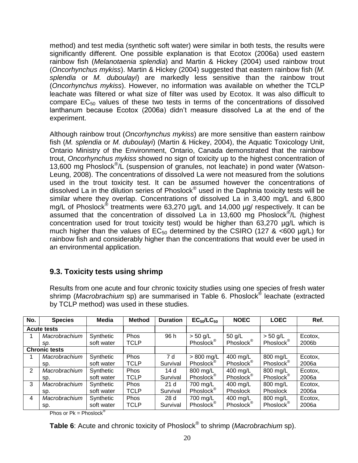method) and test media (synthetic soft water) were similar in both tests, the results were significantly different. One possible explanation is that Ecotox (2006a) used eastern rainbow fish (*Melanotaenia splendia*) and Martin & Hickey (2004) used rainbow trout (*Oncorhynchus mykiss*). Martin & Hickey (2004) suggested that eastern rainbow fish (*M. splendia* or *M. duboulayi*) are markedly less sensitive than the rainbow trout (*Oncorhynchus mykiss*). However, no information was available on whether the TCLP leachate was filtered or what size of filter was used by Ecotox. It was also difficult to compare  $EC_{50}$  values of these two tests in terms of the concentrations of dissolved lanthanum because Ecotox (2006a) didn't measure dissolved La at the end of the experiment.

Although rainbow trout (*Oncorhynchus mykiss*) are more sensitive than eastern rainbow fish (*M. splendia* or *M. duboulayi*) (Martin & Hickey, 2004), the Aquatic Toxicology Unit, Ontario Ministry of the Environment, Ontario, Canada demonstrated that the rainbow trout, *Oncorhynchus mykiss* showed no sign of toxicity up to the highest concentration of 13,600 mg Phoslock® /L (suspension of granules, not leachate) in pond water (Watson-Leung, 2008). The concentrations of dissolved La were not measured from the solutions used in the trout toxicity test. It can be assumed however the concentrations of dissolved La in the dilution series of Phoslock<sup>®</sup> used in the Daphnia toxicity tests will be similar where they overlap. Concentrations of dissolved La in 3,400 mg/L and 6,800 mg/L of Phoslock<sup>®</sup> treatments were 63,270 µg/L and 14,000 µg/ respectively. It can be assumed that the concentration of dissolved La in 13,600 mg Phoslock<sup>®</sup>/L (highest concentration used for trout toxicity test) would be higher than 63,270 µg/L which is much higher than the values of  $EC_{50}$  determined by the CSIRO (127 & <600 µg/L) for rainbow fish and considerably higher than the concentrations that would ever be used in an environmental application.

#### <span id="page-20-0"></span>**9.3. Toxicity tests using shrimp**

Results from one acute and four chronic toxicity studies using one species of fresh water shrimp (*Macrobrachium* sp) are summarised in Table 6. Phoslock® leachate (extracted by TCLP method) was used in these studies.

| No.            | <b>Species</b>       | Media      | <b>Method</b> | <b>Duration</b> | $EC_{50}/LC_{50}$     | <b>NOEC</b>           | <b>LOEC</b>           | Ref.    |
|----------------|----------------------|------------|---------------|-----------------|-----------------------|-----------------------|-----------------------|---------|
|                | <b>Acute tests</b>   |            |               |                 |                       |                       |                       |         |
|                | Macrobrachium        | Synthetic  | Phos          | 96 h            | $> 50$ g/L            | 50 g/L                | $> 50$ g/L            | Ecotox, |
|                | SD.                  | soft water | TCLP          |                 | Phoslock <sup>®</sup> | Phoslock <sup>®</sup> | Phoslock <sup>®</sup> | 2006b   |
|                | <b>Chronic tests</b> |            |               |                 |                       |                       |                       |         |
|                | Macrobrachium        | Synthetic  | Phos          | 7 d             | $> 800$ mg/L          | 400 mg/L              | 800 mg/L              | Ecotox, |
|                | SD.                  | soft water | <b>TCLP</b>   | Survival        | Phoslock <sup>®</sup> | Phoslock <sup>®</sup> | Phoslock®             | 2006a   |
| 2              | Macrobrachium        | Synthetic  | <b>Phos</b>   | 14d             | 800 mg/L              | 400 mg/L              | 800 mg/L              | Ecotox, |
|                | SD.                  | soft water | TCLP          | Survival        | Phoslock®             | Phoslock <sup>®</sup> | Phoslock®             | 2006a   |
| 3              | Macrobrachium        | Synthetic  | Phos          | 21 <sub>d</sub> | 700 mg/L              | 400 mg/L              | 800 mg/L              | Ecotox, |
|                | SD.                  | soft water | TCLP          | Survival        | Phoslock <sup>®</sup> | Phoslock              | Phoslock              | 2006a   |
| $\overline{4}$ | Macrobrachium        | Synthetic  | <b>Phos</b>   | 28d             | 700 mg/L              | 400 mg/L              | 800 mg/L              | Ecotox, |
|                | sp.                  | soft water | <b>TCLP</b>   | Survival        | Phoslock <sup>®</sup> | Phoslock <sup>®</sup> | Phoslock <sup>®</sup> | 2006a   |

Phos or  $Pk = Phoslock^®$ 

**Table 6**: Acute and chronic toxicity of Phoslock® to shrimp (*Macrobrachium* sp).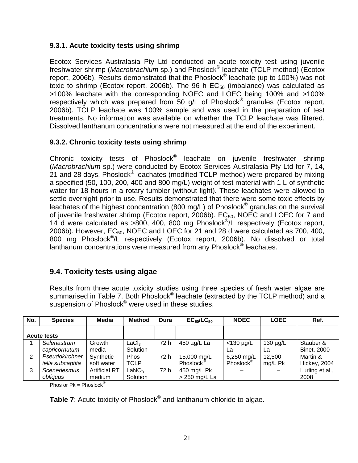#### <span id="page-21-0"></span>**9.3.1. Acute toxicity tests using shrimp**

Ecotox Services Australasia Pty Ltd conducted an acute toxicity test using juvenile freshwater shrimp (*Macrobrachium* sp.) and Phoslock® leachate (TCLP method) (Ecotox report, 2006b). Results demonstrated that the Phoslock<sup>®</sup> leachate (up to 100%) was not toxic to shrimp (Ecotox report, 2006b). The 96 h  $EC_{50}$  (imbalance) was calculated as >100% leachate with the corresponding NOEC and LOEC being 100% and >100% respectively which was prepared from 50  $g/L$  of Phoslock® granules (Ecotox report, 2006b). TCLP leachate was 100% sample and was used in the preparation of test treatments. No information was available on whether the TCLP leachate was filtered. Dissolved lanthanum concentrations were not measured at the end of the experiment.

#### <span id="page-21-1"></span>**9.3.2. Chronic toxicity tests using shrimp**

Chronic toxicity tests of Phoslock<sup>®</sup> leachate on juvenile freshwater shrimp (*Macrobrachium* sp.) were conducted by Ecotox Services Australasia Pty Ltd for 7, 14, 21 and 28 days. Phoslock® leachates (modified TCLP method) were prepared by mixing a specified (50, 100, 200, 400 and 800 mg/L) weight of test material with 1 L of synthetic water for 18 hours in a rotary tumbler (without light). These leachates were allowed to settle overnight prior to use. Results demonstrated that there were some toxic effects by leachates of the highest concentration (800 mg/L) of Phoslock<sup>®</sup> granules on the survival of juvenile freshwater shrimp (Ecotox report, 2006b).  $EC_{50}$ , NOEC and LOEC for 7 and 14 d were calculated as >800, 400, 800 mg Phoslock® /L respectively (Ecotox report, 2006b). However,  $EC_{50}$ , NOEC and LOEC for 21 and 28 d were calculated as 700, 400, 800 mg Phoslock® /L respectively (Ecotox report, 2006b). No dissolved or total lanthanum concentrations were measured from any Phoslock® leachates.

#### <span id="page-21-2"></span>**9.4. Toxicity tests using algae**

Results from three acute toxicity studies using three species of fresh water algae are summarised in Table 7. Both Phoslock<sup>®</sup> leachate (extracted by the TCLP method) and a suspension of Phoslock<sup>®</sup> were used in these studies.

| No.                | <b>Species</b>                     | Media                          | <b>Method</b>                 | Dura | $EC_{50}/LC_{50}$                    | <b>NOEC</b>                         | <b>LOEC</b>         | Ref.                            |
|--------------------|------------------------------------|--------------------------------|-------------------------------|------|--------------------------------------|-------------------------------------|---------------------|---------------------------------|
| <b>Acute tests</b> |                                    |                                |                               |      |                                      |                                     |                     |                                 |
|                    | Selenastrum<br>capricornutum       | Growth<br>media                | $\mathsf{LaCl}_3$<br>Solution | 72 h | 450 µg/L La                          | $<$ 130 µg/L<br>La                  | $130 \mu g/L$<br>La | Stauber &<br><b>Binet, 2000</b> |
| 2                  | Pseudokirchner<br>iella subcaptita | Synthetic<br>soft water        | <b>Phos</b><br>TCLP           | 72 h | 15,000 mg/L<br>Phoslock <sup>®</sup> | 6,250 mg/L<br>Phoslock <sup>®</sup> | 12,500<br>mg/L Pk   | Martin &<br><b>Hickey, 2004</b> |
| 3                  | Scenedesmus<br>obliauus            | <b>Artificial RT</b><br>medium | LaNO <sub>3</sub><br>Solution | 72 h | 450 mg/L Pk<br>> 250 mg/L La         |                                     |                     | Lurling et al.,<br>2008         |

Phos or  $Pk = Phoslock^®$ 

**Table 7**: Acute toxicity of Phoslock® and lanthanum chloride to algae.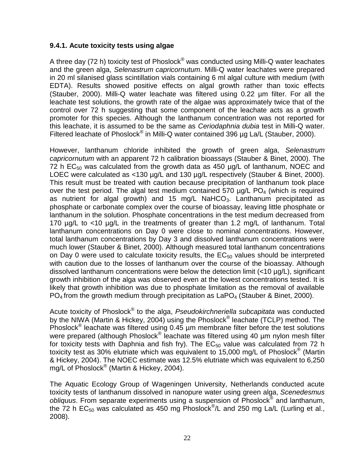#### <span id="page-22-0"></span>**9.4.1. Acute toxicity tests using algae**

A three day (72 h) toxicity test of Phoslock<sup>®</sup> was conducted using Milli-Q water leachates and the green alga, *Selenastrum capricornutum*. Milli-Q water leachates were prepared in 20 ml silanised glass scintillation vials containing 6 ml algal culture with medium (with EDTA). Results showed positive effects on algal growth rather than toxic effects (Stauber, 2000). Milli-Q water leachate was filtered using 0.22 µm filter. For all the leachate test solutions, the growth rate of the algae was approximately twice that of the control over 72 h suggesting that some component of the leachate acts as a growth promoter for this species. Although the lanthanum concentration was not reported for this leachate, it is assumed to be the same as *Ceriodaphnia dubia* test in Milli-Q water. Filtered leachate of Phoslock<sup>®</sup> in Milli-Q water contained 396 µg La/L (Stauber, 2000).

However, lanthanum chloride inhibited the growth of green alga, *Selenastrum capricornutum* with an apparent 72 h calibration bioassays (Stauber & Binet, 2000). The 72 h  $EC_{50}$  was calculated from the growth data as 450  $\mu$ g/L of lanthanum, NOEC and LOEC were calculated as <130 µg/L and 130 µg/L respectively (Stauber & Binet, 2000). This result must be treated with caution because precipitation of lanthanum took place over the test period. The algal test medium contained 570  $\mu$ g/L PO<sub>4</sub> (which is required as nutrient for algal growth) and 15 mg/L NaHCO<sub>3</sub>. Lanthanum precipitated as phosphate or carbonate complex over the course of bioassay, leaving little phosphate or lanthanum in the solution. Phosphate concentrations in the test medium decreased from 170 µg/L to <10 µg/L in the treatments of greater than 1.2 mg/L of lanthanum. Total lanthanum concentrations on Day 0 were close to nominal concentrations. However, total lanthanum concentrations by Day 3 and dissolved lanthanum concentrations were much lower (Stauber & Binet, 2000). Although measured total lanthanum concentrations on Day 0 were used to calculate toxicity results, the  $EC_{50}$  values should be interpreted with caution due to the losses of lanthanum over the course of the bioassay. Although dissolved lanthanum concentrations were below the detection limit (<10 µg/L), significant growth inhibition of the alga was observed even at the lowest concentrations tested. It is likely that growth inhibition was due to phosphate limitation as the removal of available  $PO_4$  from the growth medium through precipitation as  $LaPO_4$  (Stauber & Binet, 2000).

Acute toxicity of Phoslock<sup>®</sup> to the alga, *Pseudokirchneriella subcapitata* was conducted by the NIWA (Martin & Hickey, 2004) using the Phoslock<sup>®</sup> leachate (TCLP) method. The Phoslock<sup>®</sup> leachate was filtered using  $0.45$  µm membrane filter before the test solutions were prepared (although Phoslock® leachate was filtered using 40 µm nylon mesh filter for toxicity tests with Daphnia and fish fry). The  $EC_{50}$  value was calculated from 72 h toxicity test as 30% elutriate which was equivalent to 15,000 mg/L of Phoslock<sup>®</sup> (Martin & Hickey, 2004). The NOEC estimate was 12.5% elutriate which was equivalent to 6,250 mg/L of Phoslock® (Martin & Hickey, 2004).

The Aquatic Ecology Group of Wageningen University, Netherlands conducted acute toxicity tests of lanthanum dissolved in nanopure water using green alga, *Scenedesmus obliquus*. From separate experiments using a suspension of Phoslock® and lanthanum, the 72 h EC<sub>50</sub> was calculated as 450 mg Phoslock<sup>®</sup>/L and 250 mg La/L (Lurling et al., 2008).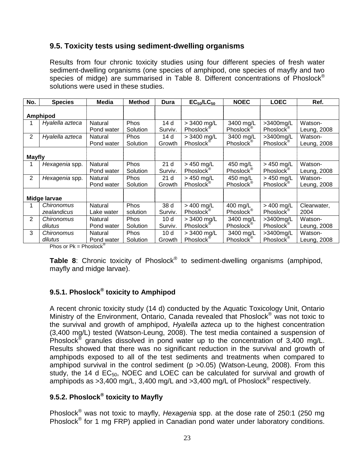#### <span id="page-23-0"></span>**9.5. Toxicity tests using sediment-dwelling organisms**

Results from four chronic toxicity studies using four different species of fresh water sediment-dwelling organisms (one species of amphipod, one species of mayfly and two species of midge) are summarised in Table 8. Different concentrations of Phoslock<sup>®</sup> solutions were used in these studies.

| No.            | <b>Species</b>  | Media      | <b>Method</b> | Dura            | $EC_{50}/LC_{50}$     | <b>NOEC</b>           | <b>LOEC</b>           | Ref.        |
|----------------|-----------------|------------|---------------|-----------------|-----------------------|-----------------------|-----------------------|-------------|
|                |                 |            |               |                 |                       |                       |                       |             |
|                | Amphipod        |            |               |                 |                       |                       |                       |             |
|                | Hyalella azteca | Natural    | <b>Phos</b>   | 14 d            | > 3400 mg/L           | 3400 mg/L             | >3400mg/L             | Watson-     |
|                |                 | Pond water | Solution      | Surviv.         | Phoslock <sup>®</sup> | Phoslock <sup>®</sup> | Phoslock <sup>®</sup> | Leung, 2008 |
| 2              | Hyalella azteca | Natural    | <b>Phos</b>   | 14 d            | > 3400 mg/L           | 3400 mg/L             | >3400mg/L             | Watson-     |
|                |                 | Pond water | Solution      | Growth          | Phoslock <sup>®</sup> | Phoslock <sup>®</sup> | Phoslock <sup>®</sup> | Leung, 2008 |
|                |                 |            |               |                 |                       |                       |                       |             |
| <b>Mayfly</b>  |                 |            |               |                 |                       |                       |                       |             |
| 1              | Hexagenia spp.  | Natural    | <b>Phos</b>   | 21 <sub>d</sub> | $> 450$ mg/L          | 450 mg/L              | $> 450$ mg/L          | Watson-     |
|                |                 | Pond water | Solution      | Surviv.         | Phoslock <sup>®</sup> | Phoslock®             | Phoslock <sup>®</sup> | Leung, 2008 |
| $\overline{2}$ | Hexagenia spp.  | Natural    | <b>Phos</b>   | 21 <sub>d</sub> | > 450 mg/L            | 450 mg/L              | $> 450$ mg/L          | Watson-     |
|                |                 | Pond water | Solution      | Growth          | Phoslock <sup>®</sup> | Phoslock <sup>®</sup> | Phoslock <sup>®</sup> | Leung, 2008 |
|                |                 |            |               |                 |                       |                       |                       |             |
|                | Midge larvae    |            |               |                 |                       |                       |                       |             |
|                | Chironomus      | Natural    | Phos          | 38 d            | $> 400$ mg/L          | 400 mg/L              | $> 400$ mg/L          | Clearwater, |
|                | zealandicus     | Lake water | solution      | Surviv.         | Phoslock <sup>®</sup> | Phoslock <sup>®</sup> | Phoslock <sup>®</sup> | 2004        |
| 2              | Chironomus      | Natural    | <b>Phos</b>   | 10 <sub>d</sub> | > 3400 mg/L           | 3400 mg/L             | >3400mg/L             | Watson-     |
|                | dilutus         | Pond water | Solution      | Surviv.         | Phoslock <sup>®</sup> | Phoslock <sup>®</sup> | Phoslock <sup>®</sup> | Leung, 2008 |
| 3              | Chironomus      | Natural    | <b>Phos</b>   | 10 <sub>d</sub> | > 3400 mg/L           | 3400 mg/L             | >3400mg/L             | Watson-     |
|                | dilutus         | Pond water | Solution      | Growth          | Phoslock <sup>®</sup> | Phoslock <sup>®</sup> | Phoslock <sup>®</sup> | Leung, 2008 |

Phos or  $Pk = Phoslock^@$ 

**Table 8**: Chronic toxicity of Phoslock® to sediment-dwelling organisms (amphipod, mayfly and midge larvae).

#### <span id="page-23-1"></span>**9.5.1. Phoslock® toxicity to Amphipod**

A recent chronic toxicity study (14 d) conducted by the Aquatic Toxicology Unit, Ontario Ministry of the Environment, Ontario, Canada revealed that Phoslock® was not toxic to the survival and growth of amphipod, *Hyalella azteca* up to the highest concentration (3,400 mg/L) tested (Watson-Leung, 2008). The test media contained a suspension of Phoslock<sup>®</sup> granules dissolved in pond water up to the concentration of  $3,400$  mg/L. Results showed that there was no significant reduction in the survival and growth of amphipods exposed to all of the test sediments and treatments when compared to amphipod survival in the control sediment (p >0.05) (Watson-Leung, 2008). From this study, the 14 d  $EC_{50}$ , NOEC and LOEC can be calculated for survival and growth of amphipods as >3,400 mg/L, 3,400 mg/L and >3,400 mg/L of Phoslock<sup>®</sup> respectively.

#### <span id="page-23-2"></span>**9.5.2. Phoslock® toxicity to Mayfly**

Phoslock® was not toxic to mayfly, *Hexagenia* spp. at the dose rate of 250:1 (250 mg Phoslock<sup>®</sup> for 1 mg FRP) applied in Canadian pond water under laboratory conditions.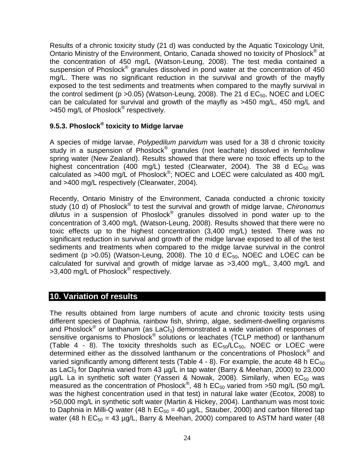Results of a chronic toxicity study (21 d) was conducted by the Aquatic Toxicology Unit, Ontario Ministry of the Environment, Ontario, Canada showed no toxicity of Phoslock<sup>®</sup> at the concentration of 450 mg/L (Watson-Leung, 2008). The test media contained a suspension of Phoslock<sup>®</sup> granules dissolved in pond water at the concentration of 450 mg/L. There was no significant reduction in the survival and growth of the mayfly exposed to the test sediments and treatments when compared to the mayfly survival in the control sediment ( $p > 0.05$ ) (Watson-Leung, 2008). The 21 d  $EC_{50}$ , NOEC and LOEC can be calculated for survival and growth of the mayfly as >450 mg/L, 450 mg/L and >450 mg/L of Phoslock<sup>®</sup> respectively.

#### <span id="page-24-0"></span>**9.5.3. Phoslock® toxicity to Midge larvae**

A species of midge larvae, *Polypedilum parvidum* was used for a 38 d chronic toxicity study in a suspension of Phoslock<sup>®</sup> granules (not leachate) dissolved in fernhollow spring water (New Zealand). Results showed that there were no toxic effects up to the highest concentration (400 mg/L) tested (Clearwater, 2004). The 38 d  $EC_{50}$  was calculated as >400 mg/L of Phoslock®; NOEC and LOEC were calculated as 400 mg/L and >400 mg/L respectively (Clearwater, 2004).

Recently, Ontario Ministry of the Environment, Canada conducted a chronic toxicity study (10 d) of Phoslock® to test the survival and growth of midge larvae, *Chironomus dilutus* in a suspension of Phoslock® granules dissolved in pond water up to the concentration of 3,400 mg/L (Watson-Leung, 2008). Results showed that there were no toxic effects up to the highest concentration (3,400 mg/L) tested. There was no significant reduction in survival and growth of the midge larvae exposed to all of the test sediments and treatments when compared to the midge larvae survival in the control sediment ( $p > 0.05$ ) (Watson-Leung, 2008). The 10 d  $EC_{50}$ , NOEC and LOEC can be calculated for survival and growth of midge larvae as >3,400 mg/L, 3,400 mg/L and >3,400 mg/L of Phoslock<sup>®</sup> respectively.

#### <span id="page-24-1"></span>**10. Variation of results**

The results obtained from large numbers of acute and chronic toxicity tests using different species of Daphnia, rainbow fish, shrimp, algae, sediment-dwelling organisms and Phoslock<sup>®</sup> or lanthanum (as LaCl<sub>3</sub>) demonstrated a wide variation of responses of sensitive organisms to Phoslock<sup>®</sup> solutions or leachates (TCLP method) or lanthanum (Table 4 - 8). The toxicity thresholds such as  $EC_{50}/\dot{LC}_{50}$ , NOEC or LOEC were determined either as the dissolved lanthanum or the concentrations of Phoslock<sup>®</sup> and varied significantly among different tests (Table  $4 - 8$ ). For example, the acute 48 h EC<sub>50</sub> as LaCl<sub>3</sub> for Daphnia varied from 43  $\mu$ g/L in tap water (Barry & Meehan, 2000) to 23,000  $\mu$ g/L La in synthetic soft water (Yasseri & Nowak, 2008). Similarly, when  $EC_{50}$  was measured as the concentration of Phoslock<sup>®</sup>, 48 h  $EC_{50}$  varied from >50 mg/L (50 mg/L was the highest concentration used in that test) in natural lake water (Ecotox, 2008) to >50,000 mg/L in synthetic soft water (Martin & Hickey, 2004). Lanthanum was most toxic to Daphnia in Milli-Q water (48 h  $EC_{50} = 40$  µg/L, Stauber, 2000) and carbon filtered tap water (48 h  $EC_{50} = 43 \mu q/L$ , Barry & Meehan, 2000) compared to ASTM hard water (48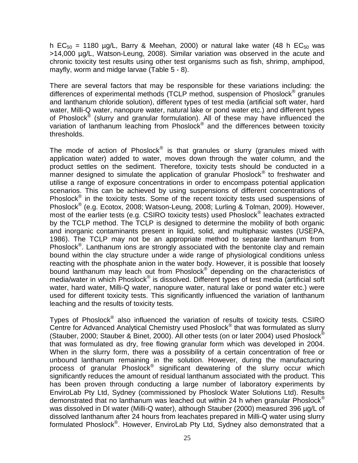h  $EC_{50}$  = 1180 µg/L, Barry & Meehan, 2000) or natural lake water (48 h  $EC_{50}$  was >14,000 µg/L, Watson-Leung, 2008). Similar variation was observed in the acute and chronic toxicity test results using other test organisms such as fish, shrimp, amphipod, mayfly, worm and midge larvae (Table 5 - 8).

There are several factors that may be responsible for these variations including: the differences of experimental methods (TCLP method, suspension of Phoslock<sup>®</sup> granules and lanthanum chloride solution), different types of test media (artificial soft water, hard water, Milli-Q water, nanopure water, natural lake or pond water etc.) and different types of Phoslock<sup>®</sup> (slurry and granular formulation). All of these may have influenced the variation of lanthanum leaching from Phoslock<sup>®</sup> and the differences between toxicity thresholds.

The mode of action of Phoslock $^{\circledast}$  is that granules or slurry (granules mixed with application water) added to water, moves down through the water column, and the product settles on the sediment. Therefore, toxicity tests should be conducted in a manner designed to simulate the application of granular Phoslock<sup>®</sup> to freshwater and utilise a range of exposure concentrations in order to encompass potential application scenarios. This can be achieved by using suspensions of different concentrations of Phoslock<sup>®</sup> in the toxicity tests. Some of the recent toxicity tests used suspensions of Phoslock<sup>®</sup> (e.g. Ecotox, 2008; Watson-Leung, 2008; Lurling & Tolman, 2009). However, most of the earlier tests (e.g. CSIRO toxicity tests) used Phoslock® leachates extracted by the TCLP method. The TCLP is designed to determine the mobility of both organic and inorganic contaminants present in liquid, solid, and multiphasic wastes (USEPA, 1986). The TCLP may not be an appropriate method to separate lanthanum from Phoslock<sup>®</sup>. Lanthanum ions are strongly associated with the bentonite clay and remain bound within the clay structure under a wide range of physiological conditions unless reacting with the phosphate anion in the water body. However, it is possible that loosely bound lanthanum may leach out from Phoslock® depending on the characteristics of media/water in which Phoslock<sup>®</sup> is dissolved. Different types of test media (artificial soft water, hard water, Milli-Q water, nanopure water, natural lake or pond water etc.) were used for different toxicity tests. This significantly influenced the variation of lanthanum leaching and the results of toxicity tests.

Types of Phoslock<sup>®</sup> also influenced the variation of results of toxicity tests. CSIRO Centre for Advanced Analytical Chemistry used Phoslock<sup>®</sup> that was formulated as slurry (Stauber, 2000; Stauber & Binet, 2000). All other tests (on or later 2004) used Phoslock<sup>®</sup> that was formulated as dry, free flowing granular form which was developed in 2004. When in the slurry form, there was a possibility of a certain concentration of free or unbound lanthanum remaining in the solution. However, during the manufacturing process of granular Phoslock<sup>®</sup> significant dewatering of the slurry occur which significantly reduces the amount of residual lanthanum associated with the product. This has been proven through conducting a large number of laboratory experiments by EnviroLab Pty Ltd, Sydney (commissioned by Phoslock Water Solutions Ltd). Results demonstrated that no lanthanum was leached out within 24 h when granular Phoslock® was dissolved in DI water (Milli-Q water), although Stauber (2000) measured 396 µg/L of dissolved lanthanum after 24 hours from leachates prepared in Milli-Q water using slurry formulated Phoslock<sup>®</sup>. However, EnviroLab Pty Ltd, Sydney also demonstrated that a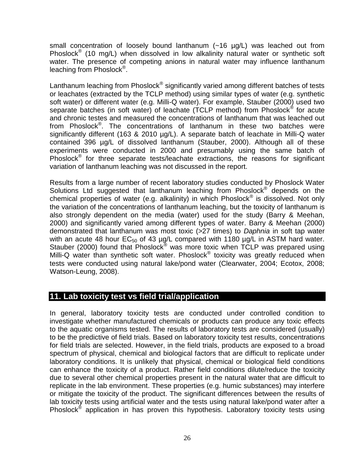small concentration of loosely bound lanthanum (~16 µg/L) was leached out from Phoslock<sup>®</sup> (10 mg/L) when dissolved in low alkalinity natural water or synthetic soft water. The presence of competing anions in natural water may influence lanthanum leaching from Phoslock<sup>®</sup>.

Lanthanum leaching from Phoslock $^{\circledast}$  significantly varied among different batches of tests or leachates (extracted by the TCLP method) using similar types of water (e.g. synthetic soft water) or different water (e.g. Milli-Q water). For example, Stauber (2000) used two separate batches (in soft water) of leachate (TCLP method) from Phoslock® for acute and chronic testes and measured the concentrations of lanthanum that was leached out from Phoslock<sup>®</sup>. The concentrations of lanthanum in these two batches were significantly different (163 & 2010 µg/L). A separate batch of leachate in Milli-Q water contained 396 µg/L of dissolved lanthanum (Stauber, 2000). Although all of these experiments were conducted in 2000 and presumably using the same batch of Phoslock® for three separate tests/leachate extractions, the reasons for significant variation of lanthanum leaching was not discussed in the report.

Results from a large number of recent laboratory studies conducted by Phoslock Water Solutions Ltd suggested that lanthanum leaching from Phoslock® depends on the chemical properties of water (e.g. alkalinity) in which Phoslock<sup>®</sup> is dissolved. Not only the variation of the concentrations of lanthanum leaching, but the toxicity of lanthanum is also strongly dependent on the media (water) used for the study (Barry & Meehan, 2000) and significantly varied among different types of water. Barry & Meehan (2000) demonstrated that lanthanum was most toxic (>27 times) to *Daphnia* in soft tap water with an acute 48 hour  $EC_{50}$  of 43  $\mu q/L$  compared with 1180  $\mu q/L$  in ASTM hard water. Stauber (2000) found that Phoslock<sup>®</sup> was more toxic when TCLP was prepared using Milli-Q water than synthetic soft water. Phoslock<sup>®</sup> toxicity was greatly reduced when tests were conducted using natural lake/pond water (Clearwater, 2004; Ecotox, 2008; Watson-Leung, 2008).

#### <span id="page-26-0"></span>**11. Lab toxicity test vs field trial/application**

In general, laboratory toxicity tests are conducted under controlled condition to investigate whether manufactured chemicals or products can produce any toxic effects to the aquatic organisms tested. The results of laboratory tests are considered (usually) to be the predictive of field trials. Based on laboratory toxicity test results, concentrations for field trials are selected. However, in the field trials, products are exposed to a broad spectrum of physical, chemical and biological factors that are difficult to replicate under laboratory conditions. It is unlikely that physical, chemical or biological field conditions can enhance the toxicity of a product. Rather field conditions dilute/reduce the toxicity due to several other chemical properties present in the natural water that are difficult to replicate in the lab environment. These properties (e.g. humic substances) may interfere or mitigate the toxicity of the product. The significant differences between the results of lab toxicity tests using artificial water and the tests using natural lake/pond water after a Phoslock<sup>®</sup> application in has proven this hypothesis. Laboratory toxicity tests using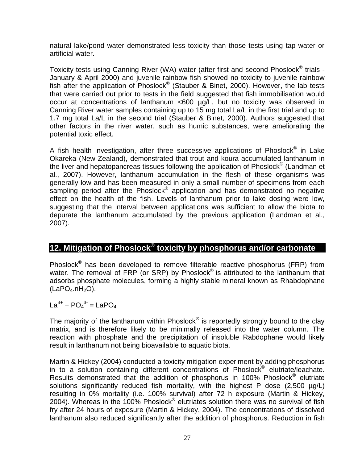natural lake/pond water demonstrated less toxicity than those tests using tap water or artificial water.

Toxicity tests using Canning River (WA) water (after first and second Phoslock<sup>®</sup> trials -January & April 2000) and juvenile rainbow fish showed no toxicity to juvenile rainbow fish after the application of Phoslock® (Stauber & Binet, 2000). However, the lab tests that were carried out prior to tests in the field suggested that fish immobilisation would occur at concentrations of lanthanum <600 µg/L, but no toxicity was observed in Canning River water samples containing up to 15 mg total La/L in the first trial and up to 1.7 mg total La/L in the second trial (Stauber & Binet, 2000). Authors suggested that other factors in the river water, such as humic substances, were ameliorating the potential toxic effect.

A fish health investigation, after three successive applications of Phoslock $^{\circledast}$  in Lake Okareka (New Zealand), demonstrated that trout and koura accumulated lanthanum in the liver and hepatopancreas tissues following the application of Phoslock $^{\circledR}$  (Landman et al., 2007). However, lanthanum accumulation in the flesh of these organisms was generally low and has been measured in only a small number of specimens from each sampling period after the Phoslock<sup>®</sup> application and has demonstrated no negative effect on the health of the fish. Levels of lanthanum prior to lake dosing were low, suggesting that the interval between applications was sufficient to allow the biota to depurate the lanthanum accumulated by the previous application (Landman et al., 2007).

#### <span id="page-27-0"></span>**12. Mitigation of Phoslock® toxicity by phosphorus and/or carbonate**

Phoslock<sup>®</sup> has been developed to remove filterable reactive phosphorus (FRP) from water. The removal of FRP (or SRP) by Phoslock<sup>®</sup> is attributed to the lanthanum that adsorbs phosphate molecules, forming a highly stable mineral known as Rhabdophane  $(LaPO<sub>4</sub>.nH<sub>2</sub>O).$ 

#### $La^{3+} + PO_4{}^{3-} = LaPO_4$

The majority of the lanthanum within Phoslock $^{\circledast}$  is reportedly strongly bound to the clay matrix, and is therefore likely to be minimally released into the water column. The reaction with phosphate and the precipitation of insoluble Rabdophane would likely result in lanthanum not being bioavailable to aquatic biota.

Martin & Hickey (2004) conducted a toxicity mitigation experiment by adding phosphorus in to a solution containing different concentrations of Phoslock<sup>®</sup> elutriate/leachate. Results demonstrated that the addition of phosphorus in 100% Phoslock<sup>®</sup> elutriate solutions significantly reduced fish mortality, with the highest P dose  $(2,500 \mu g/L)$ resulting in 0% mortality (i.e. 100% survival) after 72 h exposure (Martin & Hickey, 2004). Whereas in the 100% Phoslock® elutriates solution there was no survival of fish fry after 24 hours of exposure (Martin & Hickey, 2004). The concentrations of dissolved lanthanum also reduced significantly after the addition of phosphorus. Reduction in fish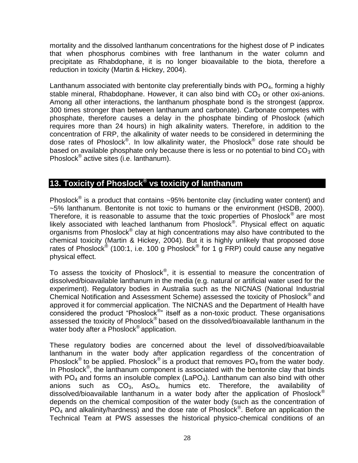mortality and the dissolved lanthanum concentrations for the highest dose of P indicates that when phosphorus combines with free lanthanum in the water column and precipitate as Rhabdophane, it is no longer bioavailable to the biota, therefore a reduction in toxicity (Martin & Hickey, 2004).

Lanthanum associated with bentonite clay preferentially binds with  $PO<sub>4</sub>$ , forming a highly stable mineral, Rhabdophane. However, it can also bind with  $CO<sub>3</sub>$  or other oxi-anions. Among all other interactions, the lanthanum phosphate bond is the strongest (approx. 300 times stronger than between lanthanum and carbonate). Carbonate competes with phosphate, therefore causes a delay in the phosphate binding of Phoslock (which requires more than 24 hours) in high alkalinity waters. Therefore, in addition to the concentration of FRP, the alkalinity of water needs to be considered in determining the dose rates of Phoslock®. In low alkalinity water, the Phoslock® dose rate should be based on available phosphate only because there is less or no potential to bind  $CO<sub>3</sub>$  with Phoslock® active sites (i.e. lanthanum).

#### <span id="page-28-0"></span>**13. Toxicity of Phoslock® vs toxicity of lanthanum**

Phoslock $^{\circledR}$  is a product that contains ~95% bentonite clay (including water content) and ~5% lanthanum. Bentonite is not toxic to humans or the environment (HSDB, 2000). Therefore, it is reasonable to assume that the toxic properties of Phoslock<sup>®</sup> are most likely associated with leached lanthanum from Phoslock<sup>®</sup>. Physical effect on aquatic organisms from Phoslock® clay at high concentrations may also have contributed to the chemical toxicity (Martin & Hickey, 2004). But it is highly unlikely that proposed dose rates of Phoslock® (100:1, i.e. 100 g Phoslock® for 1 g FRP) could cause any negative physical effect.

To assess the toxicity of Phoslock $^{\circledast}$ , it is essential to measure the concentration of dissolved/bioavailable lanthanum in the media (e.g. natural or artificial water used for the experiment). Regulatory bodies in Australia such as the NICNAS (National Industrial Chemical Notification and Assessment Scheme) assessed the toxicity of Phoslock® and approved it for commercial application. The NICNAS and the Department of Health have considered the product "Phoslock<sup>®</sup>" itself as a non-toxic product. These organisations assessed the toxicity of Phoslock® based on the dissolved/bioavailable lanthanum in the water body after a Phoslock<sup>®</sup> application.

These regulatory bodies are concerned about the level of dissolved/bioavailable lanthanum in the water body after application regardless of the concentration of Phoslock<sup>®</sup> to be applied. Phoslock<sup>®</sup> is a product that removes  $PO_4$  from the water body. In Phoslock<sup>®</sup>, the lanthanum component is associated with the bentonite clay that binds with  $PO_4$  and forms an insoluble complex (LaPO<sub>4</sub>). Lanthanum can also bind with other anions such as  $CO<sub>3</sub>$ , AsO<sub>4</sub>, humics etc. Therefore, the availability of dissolved/bioavailable lanthanum in a water body after the application of Phoslock<sup>®</sup> depends on the chemical composition of the water body (such as the concentration of  $PO<sub>4</sub>$  and alkalinity/hardness) and the dose rate of Phoslock<sup>®</sup>. Before an application the Technical Team at PWS assesses the historical physico-chemical conditions of an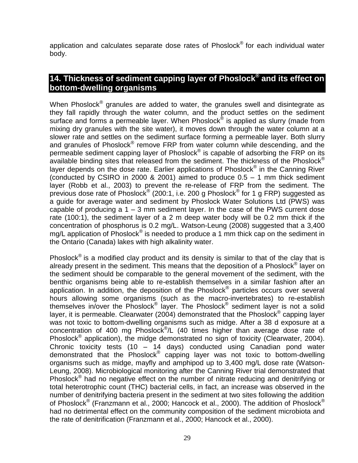application and calculates separate dose rates of Phoslock<sup>®</sup> for each individual water body.

#### <span id="page-29-0"></span>**14. Thickness of sediment capping layer of Phoslock® and its effect on bottom-dwelling organisms**

When Phoslock $^{\circledast}$  granules are added to water, the granules swell and disintegrate as they fall rapidly through the water column, and the product settles on the sediment surface and forms a permeable layer. When Phoslock® is applied as slurry (made from mixing dry granules with the site water), it moves down through the water column at a slower rate and settles on the sediment surface forming a permeable layer. Both slurry and granules of Phoslock® remove FRP from water column while descending, and the permeable sediment capping layer of Phoslock® is capable of adsorbing the  $\overline{\mathsf{FRP}}$  on its available binding sites that released from the sediment. The thickness of the Phoslock<sup>®</sup> layer depends on the dose rate. Earlier applications of Phoslock<sup>®</sup> in the Canning River (conducted by CSIRO in 2000 & 2001) aimed to produce  $0.5 - 1$  mm thick sediment layer (Robb et al., 2003) to prevent the re-release of FRP from the sediment. The previous dose rate of Phoslock® (200:1, i.e. 200 g Phoslock® for 1 g FRP) suggested as a guide for average water and sediment by Phoslock Water Solutions Ltd (PWS) was capable of producing a 1 – 3 mm sediment layer. In the case of the PWS current dose rate (100:1), the sediment layer of a 2 m deep water body will be 0.2 mm thick if the concentration of phosphorus is 0.2 mg/L. Watson-Leung (2008) suggested that a 3,400 mg/L application of Phoslock<sup>®</sup> is needed to produce a 1 mm thick cap on the sediment in the Ontario (Canada) lakes with high alkalinity water.

Phoslock $^{\circledR}$  is a modified clay product and its density is similar to that of the clay that is already present in the sediment. This means that the deposition of a Phoslock® layer on the sediment should be comparable to the general movement of the sediment, with the benthic organisms being able to re-establish themselves in a similar fashion after an application. In addition, the deposition of the Phoslock<sup>®</sup> particles occurs over several hours allowing some organisms (such as the macro-invertebrates) to re-establish themselves in/over the Phoslock® layer. The Phoslock<sup>®</sup> sediment layer is not a solid layer, it is permeable. Clearwater (2004) demonstrated that the Phoslock® capping layer was not toxic to bottom-dwelling organisms such as midge. After a 38 d exposure at a concentration of 400 mg Phoslock<sup>®</sup>/L (40 times higher than average dose rate of Phoslock<sup>®</sup> application), the midge demonstrated no sign of toxicity (Clearwater, 2004). Chronic toxicity tests (10 – 14 days) conducted using Canadian pond water demonstrated that the Phoslock® capping layer was not toxic to bottom-dwelling organisms such as midge, mayfly and amphipod up to 3,400 mg/L dose rate (Watson-Leung, 2008). Microbiological monitoring after the Canning River trial demonstrated that Phoslock<sup>®</sup> had no negative effect on the number of nitrate reducing and denitrifying or total heterotrophic count (THC) bacterial cells, in fact, an increase was observed in the number of denitrifying bacteria present in the sediment at two sites following the addition of Phoslock® (Franzmann et al., 2000; Hancock et al., 2000). The addition of Phoslock® had no detrimental effect on the community composition of the sediment microbiota and the rate of denitrification (Franzmann et al., 2000; Hancock et al., 2000).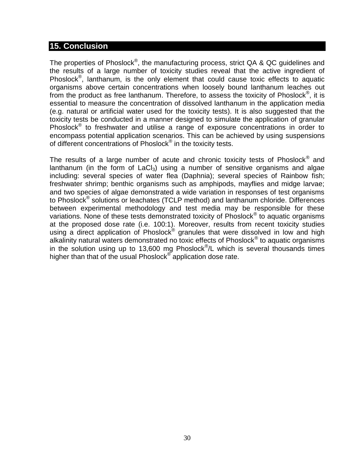#### <span id="page-30-0"></span>**15. Conclusion**

The properties of Phoslock®, the manufacturing process, strict QA & QC guidelines and the results of a large number of toxicity studies reveal that the active ingredient of Phoslock<sup>®</sup>, lanthanum, is the only element that could cause toxic effects to aquatic organisms above certain concentrations when loosely bound lanthanum leaches out from the product as free lanthanum. Therefore, to assess the toxicity of Phoslock $^{\circledast}$ , it is essential to measure the concentration of dissolved lanthanum in the application media (e.g. natural or artificial water used for the toxicity tests). It is also suggested that the toxicity tests be conducted in a manner designed to simulate the application of granular Phoslock<sup>®</sup> to freshwater and utilise a range of exposure concentrations in order to encompass potential application scenarios. This can be achieved by using suspensions of different concentrations of Phoslock® in the toxicity tests.

The results of a large number of acute and chronic toxicity tests of Phoslock $^{\circledR}$  and lanthanum (in the form of  $LaCl<sub>3</sub>$ ) using a number of sensitive organisms and algae including: several species of water flea (Daphnia); several species of Rainbow fish; freshwater shrimp; benthic organisms such as amphipods, mayflies and midge larvae; and two species of algae demonstrated a wide variation in responses of test organisms to Phoslock<sup>®</sup> solutions or leachates (TCLP method) and lanthanum chloride. Differences between experimental methodology and test media may be responsible for these variations. None of these tests demonstrated toxicity of Phoslock<sup>®</sup> to aquatic organisms at the proposed dose rate (i.e. 100:1). Moreover, results from recent toxicity studies using a direct application of Phoslock® granules that were dissolved in low and high alkalinity natural waters demonstrated no toxic effects of Phoslock<sup>®</sup> to aquatic organisms in the solution using up to 13,600 mg Phoslock $^{\circ}$ /L which is several thousands times higher than that of the usual Phoslock® application dose rate.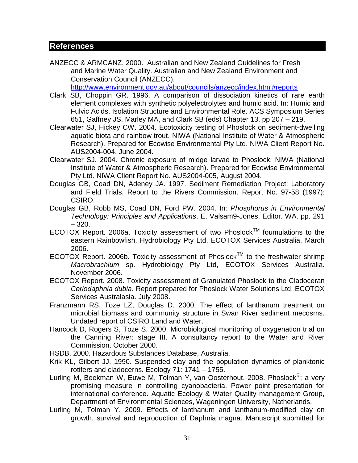#### <span id="page-31-0"></span>**References**

ANZECC & ARMCANZ. 2000. Australian and New Zealand Guidelines for Fresh and Marine Water Quality. Australian and New Zealand Environment and Conservation Council (ANZECC).

<http://www.environment.gov.au/about/councils/anzecc/index.html#reports>

- Clark SB, Choppin GR. 1996. A comparison of dissociation kinetics of rare earth element complexes with synthetic polyelectrolytes and humic acid. In: Humic and Fulvic Acids, Isolation Structure and Environmental Role. ACS Symposium Series 651, Gaffney JS, Marley MA, and Clark SB (eds) Chapter 13, pp 207 – 219.
- Clearwater SJ, Hickey CW. 2004. Ecotoxicity testing of Phoslock on sediment-dwelling aquatic biota and rainbow trout. NIWA (National Institute of Water & Atmospheric Research). Prepared for Ecowise Environmental Pty Ltd. NIWA Client Report No. AUS2004-004, June 2004.
- Clearwater SJ. 2004. Chronic exposure of midge larvae to Phoslock. NIWA (National Institute of Water & Atmospheric Research). Prepared for Ecowise Environmental Pty Ltd. NIWA Client Report No. AUS2004-005, August 2004.
- Douglas GB, Coad DN, Adeney JA. 1997. Sediment Remediation Project: Laboratory and Field Trials, Report to the Rivers Commission. Report No. 97-58 (1997): CSIRO.
- Douglas GB, Robb MS, Coad DN, Ford PW. 2004. In: *Phosphorus in Environmental Technology: Principles and Applications*. E. Valsam9-Jones, Editor. WA. pp. 291 – 320.
- ECOTOX Report. 2006a. Toxicity assessment of two Phoslock™ foumulations to the eastern Rainbowfish. Hydrobiology Pty Ltd, ECOTOX Services Australia. March 2006.
- ECOTOX Report. 2006b. Toxicity assessment of Phoslock<sup>TM</sup> to the freshwater shrimp *Macrobrachium* sp. Hydrobiology Pty Ltd, ECOTOX Services Australia. November 2006.
- ECOTOX Report. 2008. Toxicity assessment of Granulated Phoslock to the Cladoceran *Ceriodaphnia dubia*. Report prepared for Phoslock Water Solutions Ltd. ECOTOX Services Australasia. July 2008.
- Franzmann RS, Toze LZ, Douglas D. 2000. The effect of lanthanum treatment on microbial biomass and community structure in Swan River sediment mecosms. Undated report of CSIRO Land and Water.
- Hancock D, Rogers S, Toze S. 2000. Microbiological monitoring of oxygenation trial on the Canning River: stage III. A consultancy report to the Water and River Commission. October 2000.
- HSDB. 2000. Hazardous Substances Database, Australia.
- Krik KL, Gilbert JJ. 1990. Suspended clay and the population dynamics of planktonic rotifers and cladocerns. Ecology 71: 1741 – 1755.
- Lurling M, Beekman W, Euwe M, Tolman Y, van Oosterhout. 2008. Phoslock<sup>®</sup>: a very promising measure in controlling cyanobacteria. Power point presentation for international conference. Aquatic Ecology & Water Quality management Group, Department of Environmental Sciences, Wageningen University, Natherlands.
- Lurling M, Tolman Y. 2009. Effects of lanthanum and lanthanum-modified clay on growth, survival and reproduction of Daphnia magna. Manuscript submitted for